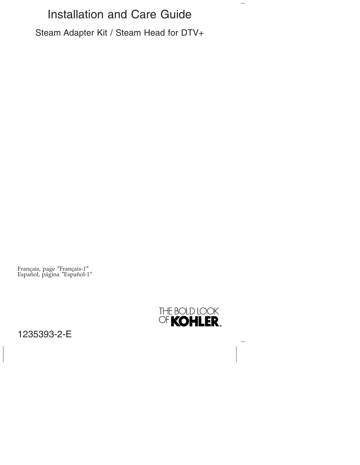# Installation and Care Guide

Steam Adapter Kit / Steam Head for DTV+

Français, page ″Français-1″ Español, página ″Español-1″



 $\overline{\phantom{0}}$ 

# 1235393-2-E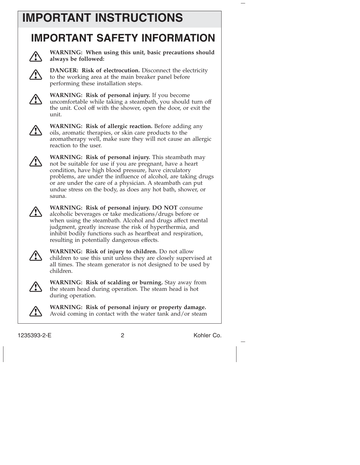# **IMPORTANT INSTRUCTIONS**

# **IMPORTANT SAFETY INFORMATION**



**WARNING: When using this unit, basic precautions should always be followed:**



**DANGER: Risk of electrocution.** Disconnect the electricity to the working area at the main breaker panel before performing these installation steps.



**WARNING: Risk of personal injury.** If you become uncomfortable while taking a steambath, you should turn off the unit. Cool off with the shower, open the door, or exit the unit.



**WARNING: Risk of allergic reaction.** Before adding any oils, aromatic therapies, or skin care products to the aromatherapy well, make sure they will not cause an allergic reaction to the user.



**WARNING: Risk of personal injury.** This steambath may not be suitable for use if you are pregnant, have a heart condition, have high blood pressure, have circulatory problems, are under the influence of alcohol, are taking drugs or are under the care of a physician. A steambath can put undue stress on the body, as does any hot bath, shower, or sauna.



**WARNING: Risk of personal injury. DO NOT** consume alcoholic beverages or take medications/drugs before or when using the steambath. Alcohol and drugs affect mental judgment, greatly increase the risk of hyperthermia, and inhibit bodily functions such as heartbeat and respiration, resulting in potentially dangerous effects.



**WARNING: Risk of injury to children.** Do not allow children to use this unit unless they are closely supervised at all times. The steam generator is not designed to be used by children.



**WARNING: Risk of scalding or burning.** Stay away from the steam head during operation. The steam head is hot during operation.

**WARNING: Risk of personal injury or property damage.** Avoid coming in contact with the water tank and/or steam

1235393-2-E 2 Kohler Co.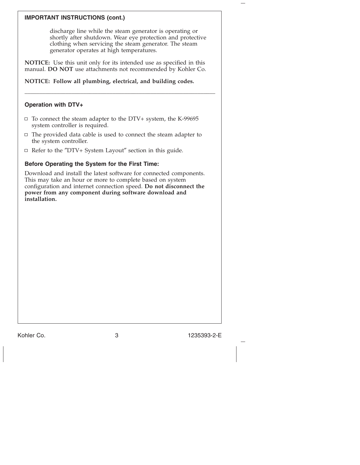## **IMPORTANT INSTRUCTIONS (cont.)**

discharge line while the steam generator is operating or shortly after shutdown. Wear eye protection and protective clothing when servicing the steam generator. The steam generator operates at high temperatures.

**NOTICE:** Use this unit only for its intended use as specified in this manual. **DO NOT** use attachments not recommended by Kohler Co.

\_\_\_\_\_\_\_\_\_\_\_\_\_\_\_\_\_\_\_\_\_\_\_\_\_\_\_\_\_\_\_\_\_\_\_\_\_\_\_\_\_\_\_\_\_\_\_\_\_\_\_\_\_\_\_\_\_\_\_\_\_\_\_\_\_

**NOTICE: Follow all plumbing, electrical, and building codes.**

## **Operation with DTV+**

- $\Box$  To connect the steam adapter to the DTV+ system, the K-99695 system controller is required.
- $\Box$  The provided data cable is used to connect the steam adapter to the system controller.
- $\Box$  Refer to the "DTV+ System Layout" section in this guide.

## **Before Operating the System for the First Time:**

Download and install the latest software for connected components. This may take an hour or more to complete based on system configuration and internet connection speed. **Do not disconnect the power from any component during software download and installation.**

Kohler Co. 3 1235393-2-E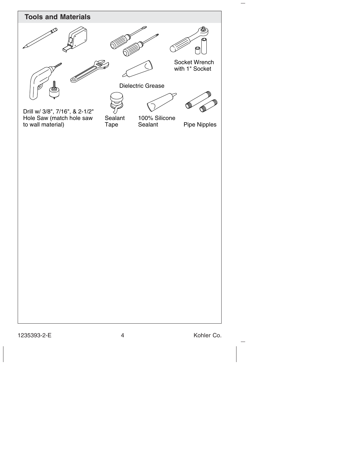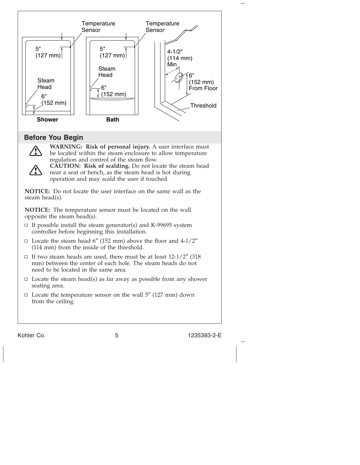

Kohler Co. 6 1235393-2-E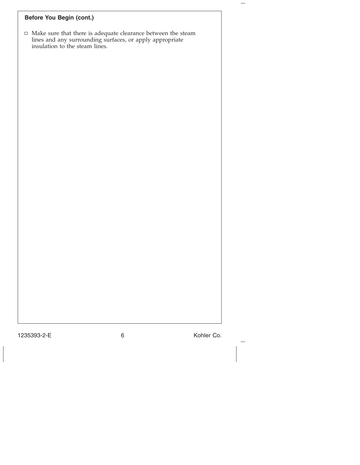# **Before You Begin (cont.)**

Make sure that there is adequate clearance between the steam lines and any surrounding surfaces, or apply appropriate insulation to the steam lines.

1235393-2-E 6 Kohler Co.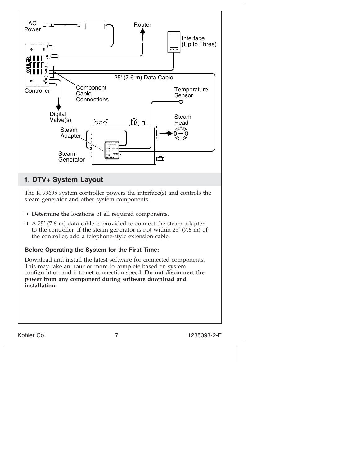

This may take an hour or more to complete based on system configuration and internet connection speed. **Do not disconnect the power from any component during software download and installation.**

Kohler Co. 2012 7 235393-2-E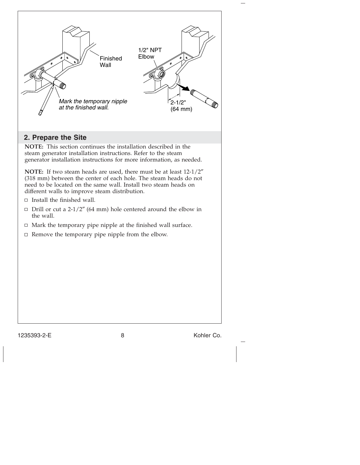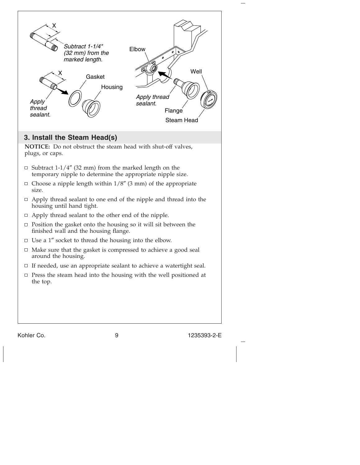

Kohler Co. 9 1235393-2-E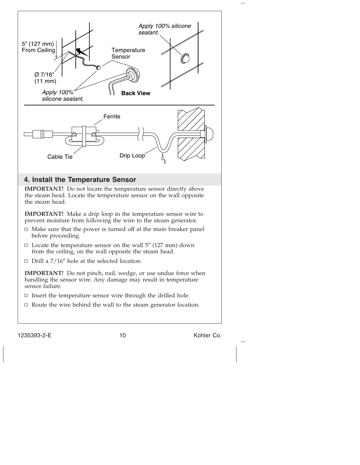

1235393-2-E 10 10 Kohler Co.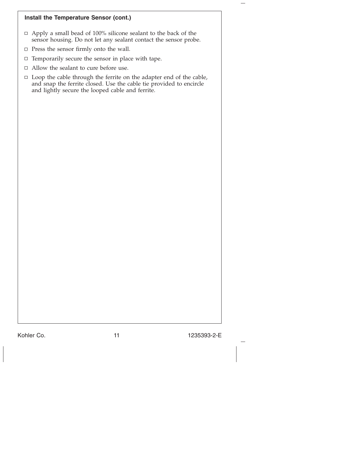#### **Install the Temperature Sensor (cont.)**

- □ Apply a small bead of 100% silicone sealant to the back of the sensor housing. Do not let any sealant contact the sensor probe.
- $\Box$  Press the sensor firmly onto the wall.
- $\Box$  Temporarily secure the sensor in place with tape.
- $\hfill \Box$  <br> Allow the sealant to cure before use.
- $\Box$  Loop the cable through the ferrite on the adapter end of the cable, and snap the ferrite closed. Use the cable tie provided to encircle and lightly secure the looped cable and ferrite.

Kohler Co. 2012 11 1235393-2-E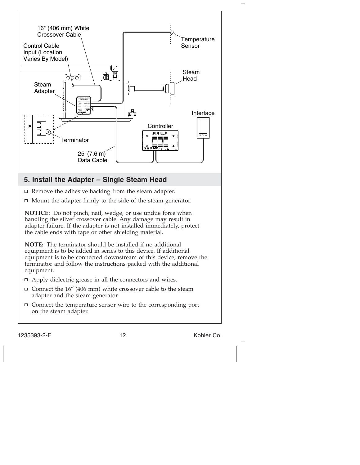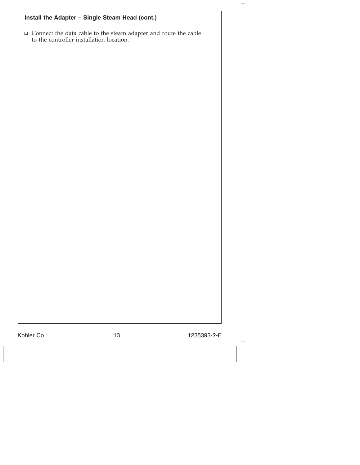| Install the Adapter - Single Steam Head (cont.)                                                                    |
|--------------------------------------------------------------------------------------------------------------------|
| $\Box$<br>Connect the data cable to the steam adapter and route the cable to the controller installation location. |
|                                                                                                                    |
|                                                                                                                    |
|                                                                                                                    |
|                                                                                                                    |
|                                                                                                                    |
|                                                                                                                    |
|                                                                                                                    |
|                                                                                                                    |
|                                                                                                                    |
|                                                                                                                    |
|                                                                                                                    |
|                                                                                                                    |
|                                                                                                                    |
|                                                                                                                    |
|                                                                                                                    |
|                                                                                                                    |

Kohler Co. 13 1235393-2-E

 $\overline{\phantom{m}}$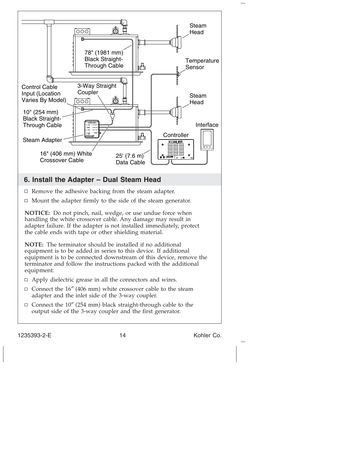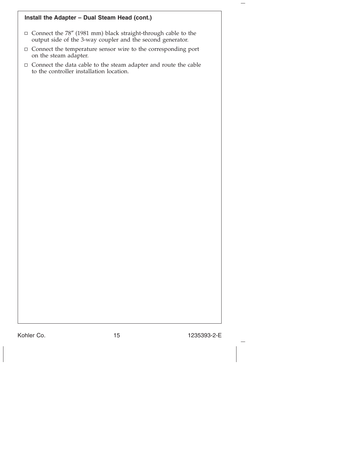# **Install the Adapter – Dual Steam Head (cont.)**

- Connect the 78″ (1981 mm) black straight-through cable to the output side of the 3-way coupler and the second generator.
- $\Box$  Connect the temperature sensor wire to the corresponding port on the steam adapter.
- Connect the data cable to the steam adapter and route the cable to the controller installation location.

Kohler Co. 2012 15 1235393-2-E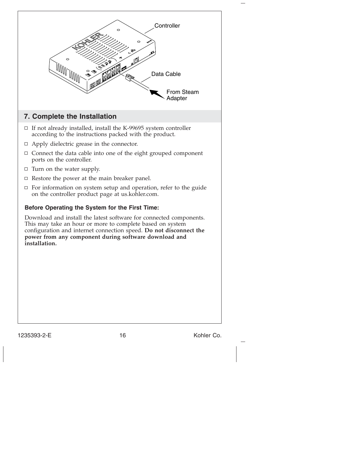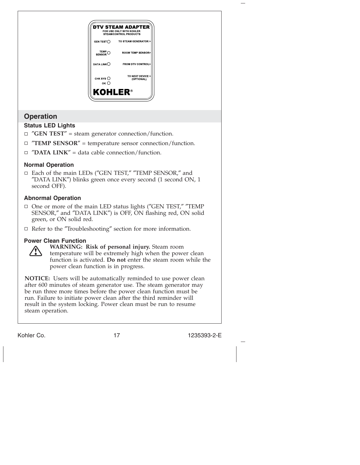

- ″**GEN TEST**″ = steam generator connection/function.
- ″**TEMP SENSOR**″ = temperature sensor connection/function.
- ″**DATA LINK**″ = data cable connection/function.

## **Normal Operation**

Each of the main LEDs (″GEN TEST,″ ″TEMP SENSOR,″ and ″DATA LINK″) blinks green once every second (1 second ON, 1 second OFF).

## **Abnormal Operation**

- □ One or more of the main LED status lights ("GEN TEST," "TEMP SENSOR,″ and ″DATA LINK″) is OFF, ON flashing red, ON solid green, or ON solid red.
- $\Box$  Refer to the "Troubleshooting" section for more information.

#### **Power Clean Function**



**WARNING: Risk of personal injury.** Steam room

temperature will be extremely high when the power clean function is activated. **Do not** enter the steam room while the power clean function is in progress.

**NOTICE:** Users will be automatically reminded to use power clean after 600 minutes of steam generator use. The steam generator may be run three more times before the power clean function must be run. Failure to initiate power clean after the third reminder will result in the system locking. Power clean must be run to resume steam operation.

Kohler Co. 2008. 2009. 2017 235393-2-E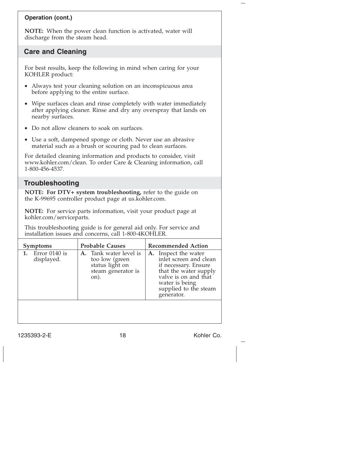# **Operation (cont.)**

**NOTE:** When the power clean function is activated, water will discharge from the steam head.

# **Care and Cleaning**

For best results, keep the following in mind when caring for your KOHLER product:

- Always test your cleaning solution on an inconspicuous area before applying to the entire surface.
- Wipe surfaces clean and rinse completely with water immediately after applying cleaner. Rinse and dry any overspray that lands on nearby surfaces.
- Do not allow cleaners to soak on surfaces.
- Use a soft, dampened sponge or cloth. Never use an abrasive material such as a brush or scouring pad to clean surfaces.

For detailed cleaning information and products to consider, visit www.kohler.com/clean. To order Care & Cleaning information, call 1-800-456-4537.

# **Troubleshooting**

**NOTE: For DTV+ system troubleshooting,** refer to the guide on the K-99695 controller product page at us.kohler.com.

**NOTE:** For service parts information, visit your product page at kohler.com/serviceparts.

This troubleshooting guide is for general aid only. For service and installation issues and concerns, call 1-800-4KOHLER.

| <b>Symptoms</b> |                               | <b>Probable Causes</b> |                                                                                           | <b>Recommended Action</b> |                                                                                                                                                                                  |
|-----------------|-------------------------------|------------------------|-------------------------------------------------------------------------------------------|---------------------------|----------------------------------------------------------------------------------------------------------------------------------------------------------------------------------|
|                 | Error $0140$ is<br>displayed. |                        | A. Tank water level is<br>too low (green<br>status light on<br>steam generator is<br>on). |                           | A. Inspect the water<br>inlet screen and clean<br>if necessary. Ensure<br>that the water supply<br>valve is on and that<br>water is being<br>supplied to the steam<br>generator. |
|                 |                               |                        |                                                                                           |                           |                                                                                                                                                                                  |

1235393-2-E 18 18 Kohler Co.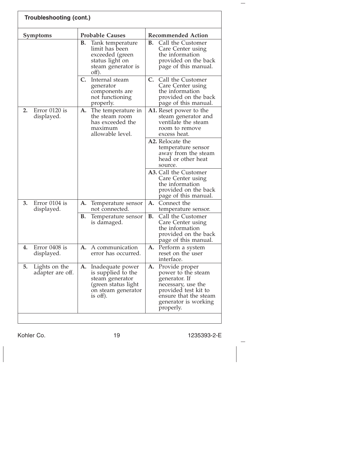| <b>Troubleshooting (cont.)</b>          |                                                                                                                       |                                                                                                                                                                      |  |  |
|-----------------------------------------|-----------------------------------------------------------------------------------------------------------------------|----------------------------------------------------------------------------------------------------------------------------------------------------------------------|--|--|
| <b>Symptoms</b>                         | <b>Probable Causes</b>                                                                                                | <b>Recommended Action</b>                                                                                                                                            |  |  |
|                                         | В.<br>Tank temperature<br>limit has been<br>exceeded (green<br>status light on<br>steam generator is<br>off).         | В.<br>Call the Customer<br>Care Center using<br>the information<br>provided on the back<br>page of this manual.                                                      |  |  |
|                                         | C.<br>Internal steam<br>generator<br>components are<br>not functioning<br>properly.                                   | C.<br>Call the Customer<br>Care Center using<br>the information<br>provided on the back<br>page of this manual.                                                      |  |  |
| Error $0120$ is<br>2.<br>displayed.     | A.<br>The temperature in<br>the steam room<br>has exceeded the<br>maximum<br>allowable level.                         | A1. Reset power to the<br>steam generator and<br>ventilate the steam<br>room to remove<br>excess heat.                                                               |  |  |
|                                         |                                                                                                                       | A2. Relocate the<br>temperature sensor<br>away from the steam<br>head or other heat<br>source.                                                                       |  |  |
|                                         |                                                                                                                       | A3. Call the Customer<br>Care Center using<br>the information<br>provided on the back<br>page of this manual.                                                        |  |  |
| 3.<br>Error 0104 is<br>displayed.       | A.<br>Temperature sensor<br>not connected.                                                                            | А.<br>Connect the<br>temperature sensor.                                                                                                                             |  |  |
|                                         | <b>B.</b><br>Temperature sensor<br>is damaged.                                                                        | В.<br>Call the Customer<br>Care Center using<br>the information<br>provided on the back<br>page of this manual.                                                      |  |  |
| Error 0408 is<br>4.<br>displayed.       | A communication<br>A.<br>error has occurred.                                                                          | Perform a system<br>A.<br>reset on the user<br>interface.                                                                                                            |  |  |
| 5.<br>Lights on the<br>adapter are off. | A. Inadequate power<br>is supplied to the<br>steam generator<br>(green status light<br>on steam generator<br>is off). | A. Provide proper<br>power to the steam<br>generator. If<br>necessary, use the<br>provided test kit to<br>ensure that the steam<br>generator is working<br>properly. |  |  |
|                                         |                                                                                                                       |                                                                                                                                                                      |  |  |

Kohler Co. 19 1235393-2-E

 $\frac{1}{2}$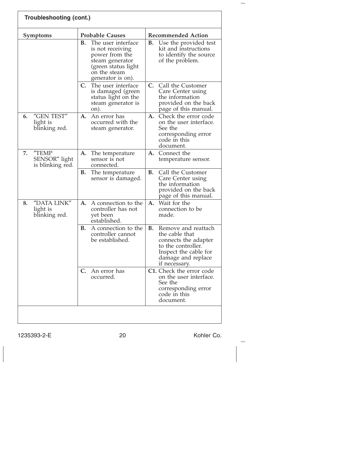| Troubleshooting (cont.)                          |                                                                                                                                               |                                                                                                                                                           |  |
|--------------------------------------------------|-----------------------------------------------------------------------------------------------------------------------------------------------|-----------------------------------------------------------------------------------------------------------------------------------------------------------|--|
| <b>Symptoms</b>                                  | <b>Probable Causes</b>                                                                                                                        | <b>Recommended Action</b>                                                                                                                                 |  |
|                                                  | The user interface<br>В.<br>is not receiving<br>power from the<br>steam generator<br>(green status light<br>on the steam<br>generator is on). | Use the provided test<br>В.<br>kit and instructions<br>to identify the source<br>of the problem.                                                          |  |
|                                                  | C.<br>The user interface<br>is damaged (green<br>status light on the<br>steam generator is<br>on).                                            | $C_{\cdot}$<br>Call the Customer<br>Care Center using<br>the information<br>provided on the back<br>page of this manual.                                  |  |
| "GEN TEST"<br>6.<br>light is<br>blinking red.    | A. An error has<br>occurred with the<br>steam generator.                                                                                      | Check the error code<br>А.<br>on the user interface.<br>See the<br>corresponding error<br>code in this<br>document.                                       |  |
| "TEMP<br>7.<br>SENSOR" light<br>is blinking red. | А.<br>The temperature<br>sensor is not<br>connected.                                                                                          | А.<br>Connect the<br>temperature sensor.                                                                                                                  |  |
|                                                  | В.<br>The temperature<br>sensor is damaged.                                                                                                   | Call the Customer<br>В.<br>Care Center using<br>the information<br>provided on the back<br>page of this manual.                                           |  |
| "DATA LINK"<br>8.<br>light is<br>blinking red.   | A connection to the<br>А.<br>controller has not<br>yet been<br>established.                                                                   | Wait for the<br>А.<br>connection to be<br>made.                                                                                                           |  |
|                                                  | <b>B.</b><br>A connection to the<br>controller cannot<br>be established.                                                                      | Remove and reattach<br>В.<br>the cable that<br>connects the adapter<br>to the controller.<br>Inspect the cable for<br>damage and replace<br>if necessary. |  |
|                                                  | C.<br>- An error has<br>occurred.                                                                                                             | C1. Check the error code<br>on the user interface.<br>See the<br>corresponding error<br>code in this<br>document.                                         |  |
|                                                  |                                                                                                                                               |                                                                                                                                                           |  |

1235393-2-E 20 Kohler Co.

 $\frac{1}{2}$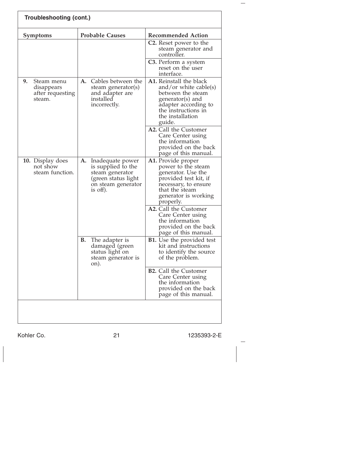| <b>Troubleshooting (cont.)</b>                               |                                                                                                                          |                                                                                                                                                                        |  |
|--------------------------------------------------------------|--------------------------------------------------------------------------------------------------------------------------|------------------------------------------------------------------------------------------------------------------------------------------------------------------------|--|
| <b>Symptoms</b>                                              | <b>Probable Causes</b>                                                                                                   | <b>Recommended Action</b>                                                                                                                                              |  |
|                                                              |                                                                                                                          | C <sub>2</sub> . Reset power to the<br>steam generator and<br>controller.                                                                                              |  |
|                                                              |                                                                                                                          | C3. Perform a system<br>reset on the user<br>interface.                                                                                                                |  |
| 9.<br>Steam menu<br>disappears<br>after requesting<br>steam. | Cables between the<br>A.<br>steam generator(s)<br>and adapter are<br>installed<br>incorrectly.                           | A1. Reinstall the black<br>and/or white cable(s)<br>between the steam<br>generator(s) and<br>adapter according to<br>the instructions in<br>the installation<br>guide. |  |
|                                                              |                                                                                                                          | A2. Call the Customer<br>Care Center using<br>the information<br>provided on the back<br>page of this manual.                                                          |  |
| 10. Display does<br>not show<br>steam function.              | A.<br>Inadequate power<br>is supplied to the<br>steam generator<br>(green status light<br>on steam generator<br>is off). | A1. Provide proper<br>power to the steam<br>generator. Use the<br>provided test kit, if<br>necessary, to ensure<br>that the steam<br>generator is working<br>properly. |  |
|                                                              |                                                                                                                          | A2. Call the Customer<br>Care Center using<br>the information<br>provided on the back<br>page of this manual.                                                          |  |
|                                                              | В.<br>The adapter is<br>damaged (green<br>status light on<br>steam generator is<br>on).                                  | <b>B1.</b> Use the provided test<br>kit and instructions<br>to identify the source<br>of the problem.                                                                  |  |
|                                                              |                                                                                                                          | <b>B2.</b> Call the Customer<br>Care Center using<br>the information<br>provided on the back<br>page of this manual.                                                   |  |
|                                                              |                                                                                                                          |                                                                                                                                                                        |  |

Kohler Co. 21 235393-2-E

 $\overline{\phantom{a}}$ 

 $\frac{1}{2}$ 

 $\overline{\phantom{0}}$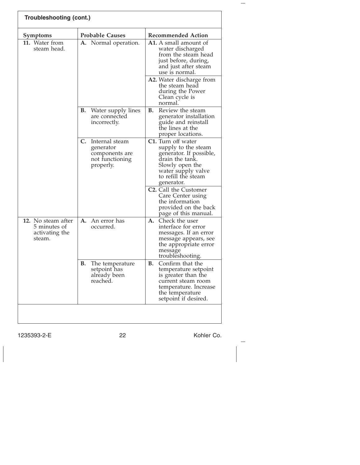| Troubleshooting (cont.)                                        |                                                                                  |                                                                                                                                                                       |  |  |
|----------------------------------------------------------------|----------------------------------------------------------------------------------|-----------------------------------------------------------------------------------------------------------------------------------------------------------------------|--|--|
| Symptoms                                                       | <b>Probable Causes</b>                                                           | <b>Recommended Action</b>                                                                                                                                             |  |  |
| <b>11.</b> Water from<br>steam head.                           | A. Normal operation.                                                             | <b>A1.</b> A small amount of<br>water discharged<br>from the steam head<br>just before, during,<br>and just after steam<br>use is normal.                             |  |  |
|                                                                |                                                                                  | A2. Water discharge from<br>the steam head<br>during the Power<br>Clean cycle is<br>normal                                                                            |  |  |
|                                                                | В.<br>Water supply lines<br>are connected<br>incorrectly.                        | Review the steam<br>В.<br>generator installation<br>guide and reinstall<br>the lines at the<br>proper locations.                                                      |  |  |
|                                                                | C. Internal steam<br>generator<br>components are<br>not functioning<br>properly. | C1. Turn off water<br>supply to the steam<br>generator. If possible,<br>drain the tank.<br>Slowly open the<br>water supply valve<br>to refill the steam<br>generator. |  |  |
|                                                                |                                                                                  | C <sub>2</sub> . Call the Customer<br>Care Center using<br>the information<br>provided on the back<br>page of this manual.                                            |  |  |
| 12. No steam after<br>5 minutes of<br>activating the<br>steam. | <b>A.</b> An error has<br>occurred.                                              | Check the user<br>А.<br>interface for error<br>messages. If an error<br>message appears, see<br>the appropriate error<br>message<br>troubleshooting.                  |  |  |
|                                                                | В.<br>The temperature<br>setpoint has<br>already been<br>reached.                | Confirm that the<br>В.<br>temperature setpoint<br>is greater than the<br>current steam room<br>temperature. Increase<br>the temperature<br>setpoint if desired.       |  |  |
|                                                                |                                                                                  |                                                                                                                                                                       |  |  |

1235393-2-E 22 Kohler Co.

 $\frac{1}{2}$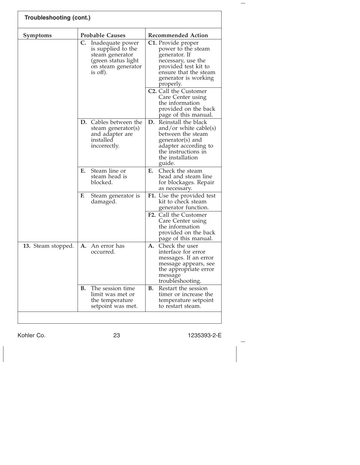| Troubleshooting (cont.) |    |                                                                                                                       |    |                                                                                                                                                                              |  |
|-------------------------|----|-----------------------------------------------------------------------------------------------------------------------|----|------------------------------------------------------------------------------------------------------------------------------------------------------------------------------|--|
| <b>Symptoms</b>         |    | <b>Probable Causes</b>                                                                                                |    | <b>Recommended Action</b>                                                                                                                                                    |  |
|                         |    | C. Inadequate power<br>is supplied to the<br>steam generator<br>(green status light<br>on steam generator<br>is off). |    | <b>C1.</b> Provide proper<br>power to the steam<br>generator. If<br>necessary, use the<br>provided test kit to<br>ensure that the steam<br>generator is working<br>properly. |  |
|                         |    |                                                                                                                       |    | C <sub>2</sub> . Call the Customer<br>Care Center using<br>the information<br>provided on the back<br>page of this manual.                                                   |  |
|                         |    | <b>D.</b> Cables between the<br>steam generator(s)<br>and adapter are<br>installed<br>incorrectly.                    | D. | Reinstall the black<br>and/or white cable(s)<br>between the steam<br>generator(s) and<br>adapter according to<br>the instructions in<br>the installation<br>guide.           |  |
|                         | Е. | Steam line or<br>steam head is<br>blocked.                                                                            | Е. | Check the steam<br>head and steam line<br>for blockages. Repair<br>as necessary.                                                                                             |  |
|                         | F. | Steam generator is<br>damaged.                                                                                        |    | F1. Use the provided test<br>kit to check steam<br>generator function.                                                                                                       |  |
|                         |    |                                                                                                                       |    | <b>F2.</b> Call the Customer<br>Care Center using<br>the information<br>provided on the back<br>page of this manual.                                                         |  |
| 13. Steam stopped.      | А. | An error has<br>occurred.                                                                                             | А. | Check the user<br>interface for error<br>messages. If an error<br>message appears, see<br>the appropriate error<br>message<br>troubleshooting.                               |  |
|                         | В. | The session time<br>limit was met or<br>the temperature<br>setpoint was met.                                          | В. | Restart the session<br>timer or increase the<br>temperature setpoint<br>to restart steam.                                                                                    |  |

Kohler Co. 23 1235393-2-E

 $\frac{1}{2}$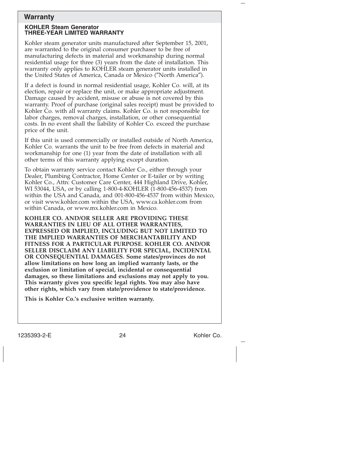# **Warranty**

#### **KOHLER Steam Generator THREE-YEAR LIMITED WARRANTY**

Kohler steam generator units manufactured after September 15, 2001, are warranted to the original consumer purchaser to be free of manufacturing defects in material and workmanship during normal residential usage for three (3) years from the date of installation. This warranty only applies to KOHLER steam generator units installed in the United States of America, Canada or Mexico (″North America″).

If a defect is found in normal residential usage, Kohler Co. will, at its election, repair or replace the unit, or make appropriate adjustment. Damage caused by accident, misuse or abuse is not covered by this warranty. Proof of purchase (original sales receipt) must be provided to Kohler Co. with all warranty claims. Kohler Co. is not responsible for labor charges, removal charges, installation, or other consequential costs. In no event shall the liability of Kohler Co. exceed the purchase price of the unit.

If this unit is used commercially or installed outside of North America, Kohler Co. warrants the unit to be free from defects in material and workmanship for one (1) year from the date of installation with all other terms of this warranty applying except duration.

To obtain warranty service contact Kohler Co., either through your Dealer, Plumbing Contractor, Home Center or E-tailer or by writing Kohler Co., Attn: Customer Care Center, 444 Highland Drive, Kohler, WI 53044, USA, or by calling 1-800-4-KOHLER (1-800-456-4537) from within the USA and Canada, and 001-800-456-4537 from within Mexico, or visit www.kohler.com within the USA, www.ca.kohler.com from within Canada, or www.mx.kohler.com in Mexico.

**KOHLER CO. AND/OR SELLER ARE PROVIDING THESE WARRANTIES IN LIEU OF ALL OTHER WARRANTIES, EXPRESSED OR IMPLIED, INCLUDING BUT NOT LIMITED TO THE IMPLIED WARRANTIES OF MERCHANTABILITY AND FITNESS FOR A PARTICULAR PURPOSE. KOHLER CO. AND/OR SELLER DISCLAIM ANY LIABILITY FOR SPECIAL, INCIDENTAL OR CONSEQUENTIAL DAMAGES. Some states/provinces do not allow limitations on how long an implied warranty lasts, or the exclusion or limitation of special, incidental or consequential damages, so these limitations and exclusions may not apply to you. This warranty gives you specific legal rights. You may also have other rights, which vary from state/providence to state/providence.**

**This is Kohler Co.'s exclusive written warranty.**

1235393-2-E 24 Z235393-2-E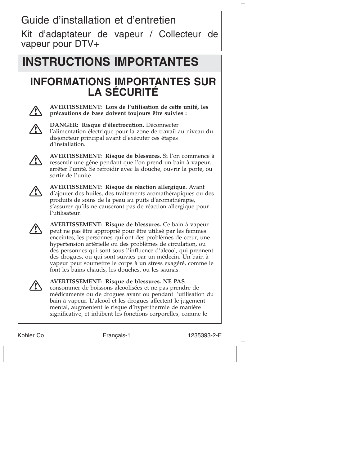Guide d'installation et d'entretien

Kit d'adaptateur de vapeur / Collecteur de vapeur pour DTV+

# **INSTRUCTIONS IMPORTANTES**

# **INFORMATIONS IMPORTANTES SUR LA SÉCURITÉ**



**AVERTISSEMENT: Lors de l'utilisation de cette unité, les précautions de base doivent toujours être suivies :**



**DANGER: Risque d'électrocution.** Déconnecter l'alimentation électrique pour la zone de travail au niveau du disjoncteur principal avant d'exécuter ces étapes d'installation.



**AVERTISSEMENT: Risque de blessures.** Si l'on commence à ressentir une gêne pendant que l'on prend un bain à vapeur, arrêter l'unité. Se refroidir avec la douche, ouvrir la porte, ou sortir de l'unité.



**AVERTISSEMENT: Risque de réaction allergique.** Avant d'ajouter des huiles, des traitements aromathérapiques ou des produits de soins de la peau au puits d'aromathérapie, s'assurer qu'ils ne causeront pas de réaction allergique pour l'utilisateur.



**AVERTISSEMENT: Risque de blessures.** Ce bain à vapeur peut ne pas être approprié pour être utilisé par les femmes enceintes, les personnes qui ont des problèmes de cœur, une hypertension artérielle ou des problèmes de circulation, ou des personnes qui sont sous l'influence d'alcool, qui prennent des drogues, ou qui sont suivies par un médecin. Un bain à vapeur peut soumettre le corps à un stress exagéré, comme le font les bains chauds, les douches, ou les saunas.



**AVERTISSEMENT: Risque de blessures. NE PAS** consommer de boissons alcoolisées et ne pas prendre de médicaments ou de drogues avant ou pendant l'utilisation du bain à vapeur. L'alcool et les drogues affectent le jugement mental, augmentent le risque d'hyperthermie de manière significative, et inhibent les fonctions corporelles, comme le

Kohler Co. The Français-1 1235393-2-E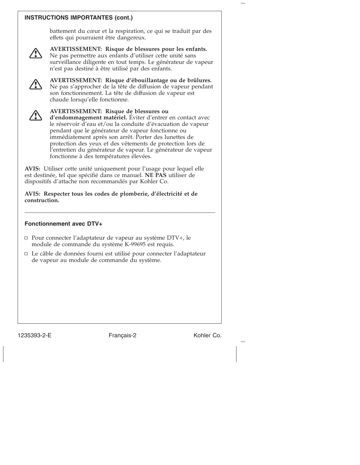## **INSTRUCTIONS IMPORTANTES (cont.)**

battement du cœur et la respiration, ce qui se traduit par des effets qui pourraient être dangereux.



**AVERTISSEMENT: Risque de blessures pour les enfants.** Ne pas permettre aux enfants d'utiliser cette unité sans surveillance diligente en tout temps. Le générateur de vapeur n'est pas destiné à être utilisé par des enfants.



**AVERTISSEMENT: Risque d'ébouillantage ou de brûlures.** Ne pas s'approcher de la tête de diffusion de vapeur pendant son fonctionnement. La tête de diffusion de vapeur est chaude lorsqu'elle fonctionne.



**AVERTISSEMENT: Risque de blessures ou d'endommagement matériel.** Éviter d'entrer en contact avec

le réservoir d'eau et/ou la conduite d'évacuation de vapeur pendant que le générateur de vapeur fonctionne ou immédiatement après son arrêt. Porter des lunettes de protection des yeux et des vêtements de protection lors de l'entretien du générateur de vapeur. Le générateur de vapeur fonctionne à des températures élevées.

**AVIS:** Utiliser cette unité uniquement pour l'usage pour lequel elle est destinée, tel que spécifié dans ce manuel. **NE PAS** utiliser de dispositifs d'attache non recommandés par Kohler Co.

**AVIS: Respecter tous les codes de plomberie, d'électricité et de construction.**

\_\_\_\_\_\_\_\_\_\_\_\_\_\_\_\_\_\_\_\_\_\_\_\_\_\_\_\_\_\_\_\_\_\_\_\_\_\_\_\_\_\_\_\_\_\_\_\_\_\_\_\_\_\_\_\_\_\_\_\_\_\_\_\_\_

## **Fonctionnement avec DTV+**

- □ Pour connecter l'adaptateur de vapeur au système DTV+, le module de commande du système K-99695 est requis.
- $\Box$  Le câble de données fourni est utilisé pour connecter l'adaptateur de vapeur au module de commande du système.

1235393-2-E Français-2 Kohler Co.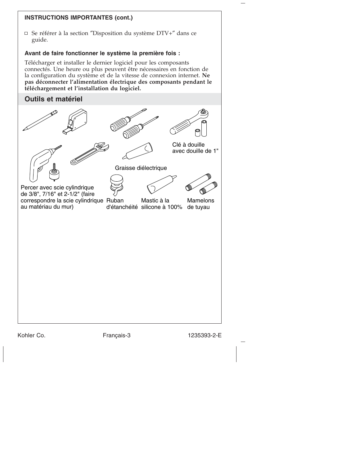

Kohler Co. Français-3 1235393-2-E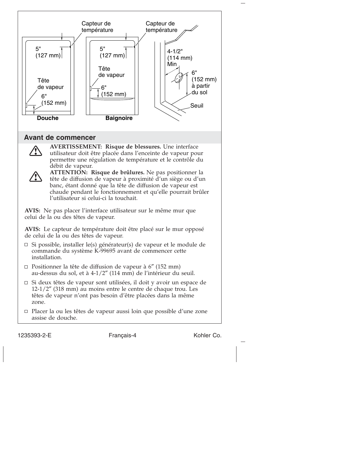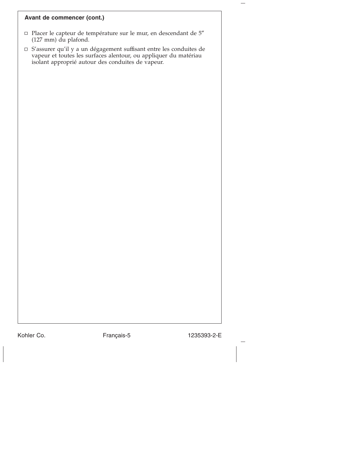#### **Avant de commencer (cont.)**

- Placer le capteur de température sur le mur, en descendant de 5″ (127 mm) du plafond.
- S'assurer qu'il y a un dégagement suffisant entre les conduites de vapeur et toutes les surfaces alentour, ou appliquer du matériau isolant approprié autour des conduites de vapeur.

Kohler Co. Français-5 1235393-2-E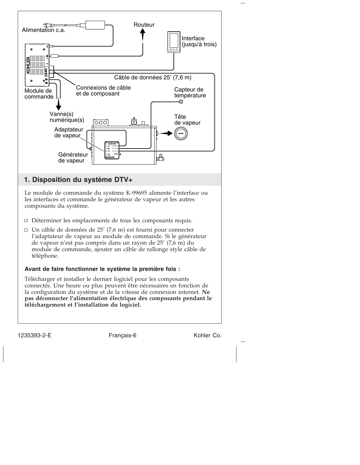

Le module de commande du système K-99695 alimente l'interface ou les interfaces et commande le générateur de vapeur et les autres composants du système.

- Déterminer les emplacements de tous les composants requis.
- $\Box$  Un câble de données de 25' (7,6 m) est fourni pour connecter l'adaptateur de vapeur au module de commande. Si le générateur de vapeur n'est pas compris dans un rayon de 25' (7,6 m) du module de commande, ajouter un câble de rallonge style câble de téléphone.

#### **Avant de faire fonctionner le système la première fois :**

Télécharger et installer le dernier logiciel pour les composants connectés. Une heure ou plus peuvent être nécessaires en fonction de la configuration du système et de la vitesse de connexion internet. **Ne pas déconnecter l'alimentation électrique des composants pendant le téléchargement et l'installation du logiciel.**

1235393-2-E Français-6 Kohler Co.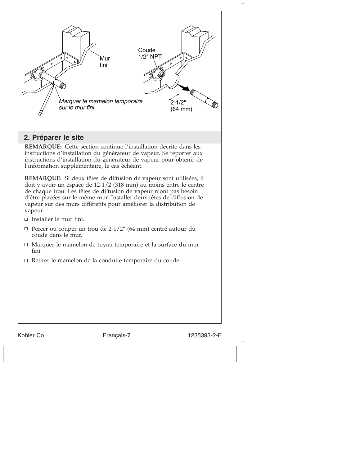

# **2. Préparer le site**

**REMARQUE:** Cette section continue l'installation décrite dans les instructions d'installation du générateur de vapeur. Se reporter aux instructions d'installation du générateur de vapeur pour obtenir de l'information supplémentaire, le cas échéant.

**REMARQUE:** Si deux têtes de diffusion de vapeur sont utilisées, il doit y avoir un espace de 12-1/2 (318 mm) au moins entre le centre de chaque trou. Les têtes de diffusion de vapeur n'ont pas besoin d'être placées sur le même mur. Installer deux têtes de diffusion de vapeur sur des murs différents pour améliorer la distribution de vapeur.

- $\Box$  Installer le mur fini.
- Percer ou couper un trou de  $2-1/2$ " (64 mm) centré autour du coude dans le mur.
- Marquer le mamelon de tuyau temporaire et la surface du mur fini.
- Retirer le mamelon de la conduite temporaire du coude.

Kohler Co. **Français-7** 1235393-2-E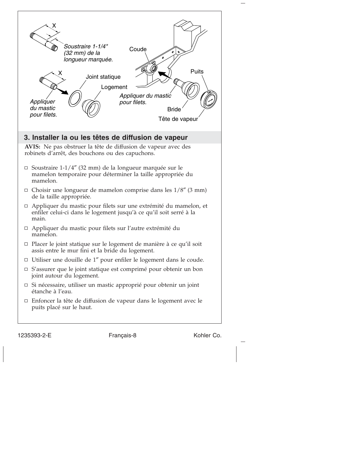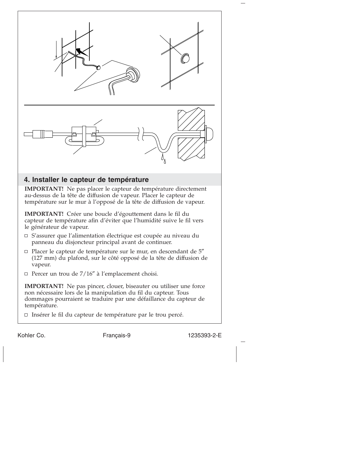

# **4. Installer le capteur de température**

**IMPORTANT!** Ne pas placer le capteur de température directement au-dessus de la tête de diffusion de vapeur. Placer le capteur de température sur le mur à l'opposé de la tête de diffusion de vapeur.

**IMPORTANT!** Créer une boucle d'égouttement dans le fil du capteur de température afin d'éviter que l'humidité suive le fil vers le générateur de vapeur.

- $\Box$  S'assurer que l'alimentation électrique est coupée au niveau du panneau du disjoncteur principal avant de continuer.
- $\Box$  Placer le capteur de température sur le mur, en descendant de  $5''$ (127 mm) du plafond, sur le côté opposé de la tête de diffusion de vapeur.
- $\Box$  Percer un trou de 7/16" à l'emplacement choisi.

**IMPORTANT!** Ne pas pincer, clouer, biseauter ou utiliser une force non nécessaire lors de la manipulation du fil du capteur. Tous dommages pourraient se traduire par une défaillance du capteur de température.

Insérer le fil du capteur de température par le trou percé.

Kohler Co. Français-9 1235393-2-E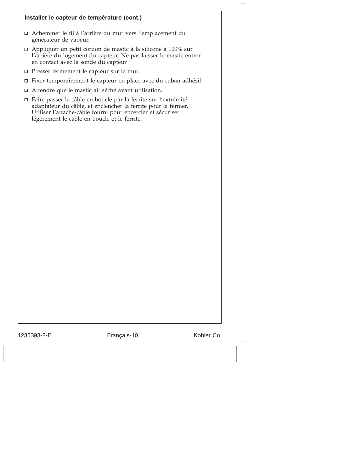#### **Installer le capteur de température (cont.)**

- Acheminer le fil à l'arrière du mur vers l'emplacement du générateur de vapeur.
- □ Appliquer un petit cordon de mastic à la silicone à 100% sur l'arrière du logement du capteur. Ne pas laisser le mastic entrer en contact avec la sonde du capteur.
- Presser fermement le capteur sur le mur.
- Fixer temporairement le capteur en place avec du ruban adhésif.
- Attendre que le mastic ait séché avant utilisation.
- Faire passer le câble en boucle par la ferrite sur l'extrémité adaptateur du câble, et enclencher la ferrite pour la fermer. Utiliser l'attache-câble fourni pour encercler et sécuriser légèrement le câble en boucle et le ferrite.

1235393-2-E Français-10 Kohler Co.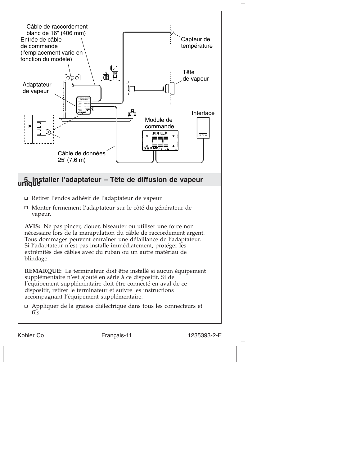

Kohler Co. Français-11 1235393-2-E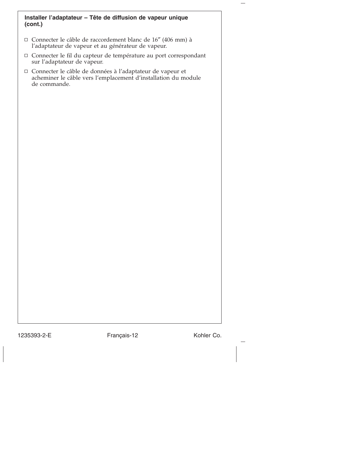#### **Installer l'adaptateur – Tête de diffusion de vapeur unique (cont.)**

- Connecter le câble de raccordement blanc de 16″ (406 mm) à l'adaptateur de vapeur et au générateur de vapeur.
- Connecter le fil du capteur de température au port correspondant sur l'adaptateur de vapeur.
- Connecter le câble de données à l'adaptateur de vapeur et acheminer le câble vers l'emplacement d'installation du module de commande.

1235393-2-E Français-12 Kohler Co.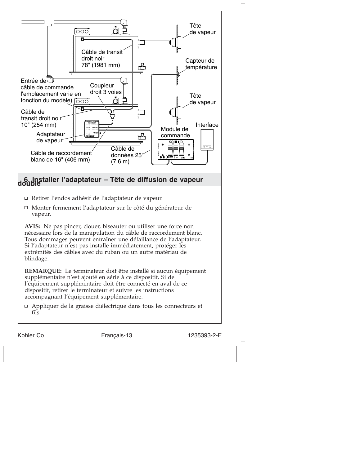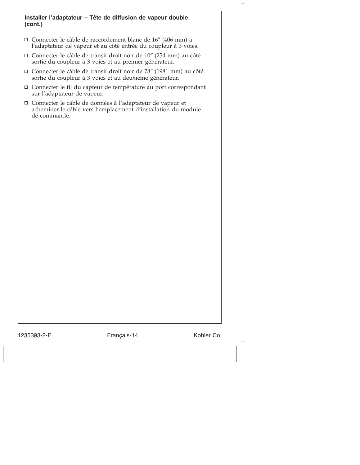#### **Installer l'adaptateur – Tête de diffusion de vapeur double (cont.)**

- Connecter le câble de raccordement blanc de 16″ (406 mm) à l'adaptateur de vapeur et au côté entrée du coupleur à 3 voies.
- Connecter le câble de transit droit noir de 10″ (254 mm) au côté sortie du coupleur à 3 voies et au premier générateur.
- Connecter le câble de transit droit noir de 78″ (1981 mm) au côté sortie du coupleur à 3 voies et au deuxième générateur.
- Connecter le fil du capteur de température au port correspondant sur l'adaptateur de vapeur.
- Connecter le câble de données à l'adaptateur de vapeur et acheminer le câble vers l'emplacement d'installation du module de commande.

1235393-2-E Français-14 Kohler Co.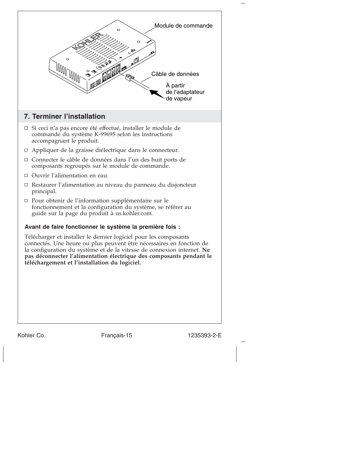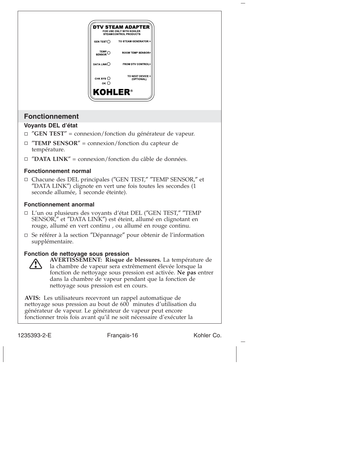

- SENSOR,″ et ″DATA LINK″) est éteint, allumé en clignotant en rouge, allumé en vert continu , ou allumé en rouge continu.
- Se référer à la section ″Dépannage″ pour obtenir de l'information supplémentaire.

#### **Fonction de nettoyage sous pression**



**AVERTISSEMENT: Risque de blessures.** La température de la chambre de vapeur sera extrêmement élevée lorsque la fonction de nettoyage sous pression est activée. **Ne pas** entrer dans la chambre de vapeur pendant que la fonction de nettoyage sous pression est en cours.

**AVIS:** Les utilisateurs recevront un rappel automatique de nettoyage sous pression au bout de 600 minutes d'utilisation du générateur de vapeur. Le générateur de vapeur peut encore fonctionner trois fois avant qu'il ne soit nécessaire d'exécuter la

1235393-2-E Français-16 Kohler Co.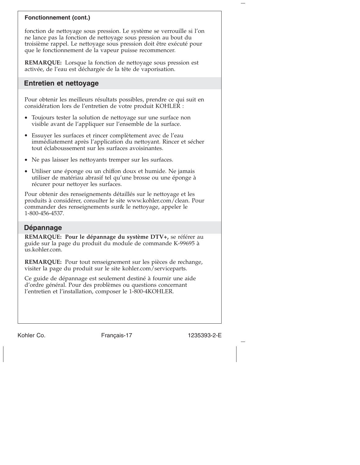#### **Fonctionnement (cont.)**

fonction de nettoyage sous pression. Le système se verrouille si l'on ne lance pas la fonction de nettoyage sous pression au bout du troisième rappel. Le nettoyage sous pression doit être exécuté pour que le fonctionnement de la vapeur puisse recommencer.

**REMARQUE:** Lorsque la fonction de nettoyage sous pression est activée, de l'eau est déchargée de la tête de vaporisation.

# **Entretien et nettoyage**

Pour obtenir les meilleurs résultats possibles, prendre ce qui suit en considération lors de l'entretien de votre produit KOHLER :

- Toujours tester la solution de nettoyage sur une surface non visible avant de l'appliquer sur l'ensemble de la surface.
- Essuyer les surfaces et rincer complètement avec de l'eau immédiatement après l'application du nettoyant. Rincer et sécher tout éclaboussement sur les surfaces avoisinantes.
- Ne pas laisser les nettoyants tremper sur les surfaces.
- Utiliser une éponge ou un chiffon doux et humide. Ne jamais utiliser de matériau abrasif tel qu'une brosse ou une éponge à récurer pour nettoyer les surfaces.

Pour obtenir des renseignements détaillés sur le nettoyage et les produits à considérer, consulter le site www.kohler.com/clean. Pour commander des renseignements sur& le nettoyage, appeler le 1-800-456-4537.

# **Dépannage**

**REMARQUE: Pour le dépannage du système DTV+,** se référer au guide sur la page du produit du module de commande K-99695 à us.kohler.com.

**REMARQUE:** Pour tout renseignement sur les pièces de rechange, visiter la page du produit sur le site kohler.com/serviceparts.

Ce guide de dépannage est seulement destiné à fournir une aide d'ordre général. Pour des problèmes ou questions concernant l'entretien et l'installation, composer le 1-800-4KOHLER.

Kohler Co. Français-17 1235393-2-E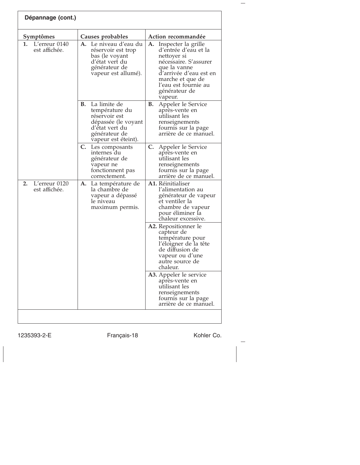| Dépannage (cont.)                    |                                                                                                                                        |                                                                                                                                                                                                             |  |  |
|--------------------------------------|----------------------------------------------------------------------------------------------------------------------------------------|-------------------------------------------------------------------------------------------------------------------------------------------------------------------------------------------------------------|--|--|
| Symptômes                            | Causes probables                                                                                                                       | Action recommandée                                                                                                                                                                                          |  |  |
| L'erreur 0140<br>1.<br>est affichée. | <b>A.</b> Le niveau d'eau du<br>réservoir est trop<br>bas (le voyant<br>d'état vert du<br>générateur de<br>vapeur est allumé).         | Inspecter la grille<br>А.<br>d'entrée d'eau et la<br>nettoyer si<br>nécessaire. S'assurer<br>que la vanne<br>d'arrivée d'eau est en<br>marche et que de<br>l'eau est fournie au<br>générateur de<br>vapeur. |  |  |
|                                      | La limite de<br>В.<br>température du<br>réservoir est<br>dépassée (le voyant<br>d'état vert du<br>générateur de<br>vapeur est éteint). | В.<br>Appeler le Service<br>après-vente en<br>utilisant les<br>renseignements<br>fournis sur la page<br>arrière de ce manuel.                                                                               |  |  |
|                                      | C. Les composants<br>internes du<br>générateur de<br>vapeur ne<br>fonctionnent pas<br>correctement.                                    | C.<br>Appeler le Service<br>après-vente en<br>utilisant les<br>renseignements<br>fournis sur la page<br>arrière de ce manuel.                                                                               |  |  |
| 2.<br>L'erreur 0120<br>est affichée. | A.<br>La température de<br>la chambre de<br>vapeur a dépassé<br>le niveau<br>maximum permis.                                           | A1. Réinitialiser<br>l'alimentation au<br>générateur de vapeur<br>et ventiler la<br>chambre de vapeur<br>pour éliminer la<br>chaleur excessive.                                                             |  |  |
|                                      |                                                                                                                                        | <b>A2.</b> Repositionner le<br>capteur de<br>température pour<br>l'éloigner de la tête<br>de diffusion de<br>vapeur ou d'une<br>autre source de<br>chaleur.                                                 |  |  |
|                                      |                                                                                                                                        | A3. Appeler le service<br>après-vente en<br>utilisant les<br>renseignements<br>fournis sur la page<br>arrière de ce manuel.                                                                                 |  |  |
|                                      |                                                                                                                                        |                                                                                                                                                                                                             |  |  |

1235393-2-E Français-18 Kohler Co.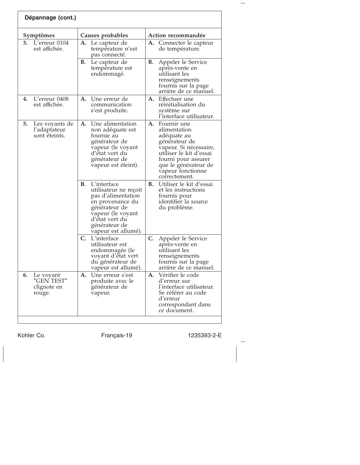| Dépannage (cont.)                                      |                                                                                                                                                                                      |                                                                                                                                                                                                             |  |  |
|--------------------------------------------------------|--------------------------------------------------------------------------------------------------------------------------------------------------------------------------------------|-------------------------------------------------------------------------------------------------------------------------------------------------------------------------------------------------------------|--|--|
| Symptômes                                              | Causes probables                                                                                                                                                                     | Action recommandée                                                                                                                                                                                          |  |  |
| 3.<br>L'erreur 0104<br>est affichée.                   | A. Le capteur de<br>température n'est<br>pas connecté.                                                                                                                               | Connecter le capteur<br>А.<br>de température.                                                                                                                                                               |  |  |
|                                                        | В.<br>Le capteur de<br>température est<br>endommagé.                                                                                                                                 | В.<br>Appeler le Service<br>après-vente en<br>utilisant les<br>renseignements<br>fournis sur la page<br>arrière de ce manuel.                                                                               |  |  |
| L'erreur 0408<br>4.<br>est affichée.                   | Une erreur de<br>А.<br>communication<br>s'est produite.                                                                                                                              | Effectuer une<br>А.<br>réinitialisation du<br>système sur<br>l'interface utilisateur.                                                                                                                       |  |  |
| 5.<br>Les voyants de<br>l'adaptateur<br>sont éteints.  | A. Une alimentation<br>non adéquate est<br>fournie au<br>générateur de<br>vapeur (le voyant<br>d'état vert du<br>générateur de<br>vapeur est éteint).                                | А.<br>Fournir une<br>alimentation<br>adéquate au<br>générateur de<br>vapeur. Si nécessaire,<br>utiliser le kit d'essai<br>fourni pour assurer<br>que le générateur de<br>vapeur fonctionne<br>correctement. |  |  |
|                                                        | L'interface<br>В.<br>utilisateur ne reçoit<br>pas d'alimentation<br>en provenance du<br>générateur de<br>vapeur (le voyant<br>d'état vert du<br>générateur de<br>vapeur est allumé). | <b>B.</b><br>Utiliser le kit d'essai<br>et les instructions<br>fournis pour<br>identifier la source<br>du problème.                                                                                         |  |  |
|                                                        | C.<br>L'interface<br>utilisateur est<br>endommagée (le<br>voyant d'état vert<br>du générateur de<br>vapeur est allumé).                                                              | C.<br>Appeler le Service<br>après-vente en<br>utilisant les<br>renseignements<br>fournis sur la page<br>arrière de ce manuel.                                                                               |  |  |
| 6.<br>Le voyant<br>"GEN TEST"<br>clignote en<br>rouge. | A. Une erreur s'est<br>produite avec le<br>générateur de<br>vapeur.                                                                                                                  | A. Vérifier le code<br>d'erreur sur<br>l'interface utilisateur.<br>Se référer au code<br>d'erreur<br>correspondant dans<br>ce document.                                                                     |  |  |

Kohler Co. Français-19 1235393-2-E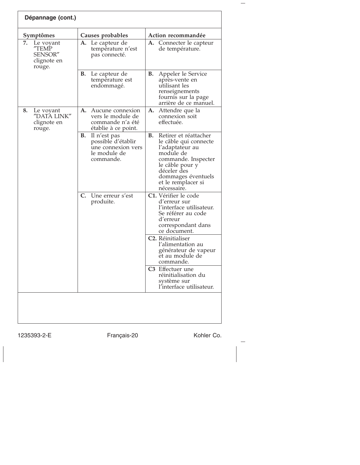| Dépannage (cont.)                                            |                                                                                                    |                                                                                                                                                                                                          |  |  |  |
|--------------------------------------------------------------|----------------------------------------------------------------------------------------------------|----------------------------------------------------------------------------------------------------------------------------------------------------------------------------------------------------------|--|--|--|
| Symptômes                                                    | Causes probables                                                                                   | Action recommandée                                                                                                                                                                                       |  |  |  |
| 7.<br>Le voyant<br>"TEMP<br>SENSOR"<br>clignote en<br>rouge. | A. Le capteur de<br>température n'est<br>pas connecté.                                             | <b>A.</b> Connecter le capteur<br>de température.                                                                                                                                                        |  |  |  |
|                                                              | В.<br>Le capteur de<br>température est<br>endommagé.                                               | Appeler le Service<br>В.<br>après-vente en<br>utilisant les<br>renseignements<br>fournis sur la page<br>arrière de ce manuel.                                                                            |  |  |  |
| 8.<br>Le voyant<br>"DATA LINK"<br>clignote en<br>rouge.      | A.<br>Aucune connexion<br>vers le module de<br>commande n'a été<br>établie à ce point.             | А.<br>Attendre que la<br>connexion soit<br>effectuée.                                                                                                                                                    |  |  |  |
|                                                              | <b>B.</b><br>Il n'est pas<br>possible d'établir<br>une connexion vers<br>le module de<br>commande. | Retirer et réattacher<br>В.<br>le câble qui connecte<br>l'adaptateur au<br>module de<br>commande. Inspecter<br>le câble pour y<br>déceler des<br>dommages éventuels<br>et le remplacer si<br>nécessaire. |  |  |  |
|                                                              | Une erreur s'est<br>C.<br>produite.                                                                | C1. Vérifier le code<br>d'erreur sur<br>l'interface utilisateur.<br>Se référer au code<br>d'erreur<br>correspondant dans<br>ce document.                                                                 |  |  |  |
|                                                              |                                                                                                    | C <sub>2</sub> . Réinitialiser<br>l'alimentation au<br>générateur de vapeur<br>et au module de<br>commande.                                                                                              |  |  |  |
|                                                              |                                                                                                    | C3 Effectuer une<br>réinitialisation du<br>système sur<br>l'interface utilisateur.                                                                                                                       |  |  |  |
|                                                              |                                                                                                    |                                                                                                                                                                                                          |  |  |  |

 $\overline{\phantom{a}}$ 

1235393-2-E Français-20 Kohler Co.

 $\frac{1}{2}$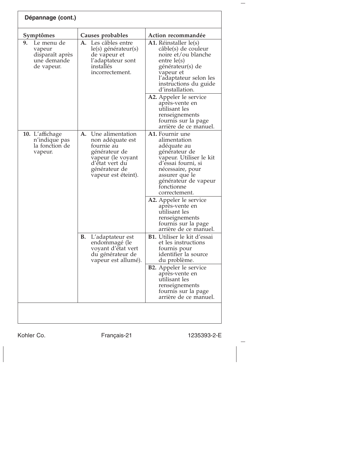| Dépannage (cont.)                                                          |                                                                                                                                                          |                                                                                                                                                                                                                                         |  |  |
|----------------------------------------------------------------------------|----------------------------------------------------------------------------------------------------------------------------------------------------------|-----------------------------------------------------------------------------------------------------------------------------------------------------------------------------------------------------------------------------------------|--|--|
| Symptômes                                                                  | Causes probables                                                                                                                                         | Action recommandée                                                                                                                                                                                                                      |  |  |
| 9.<br>Le menu de<br>vapeur<br>disparaît après<br>une demande<br>de vapeur. | <b>A.</b> Les câbles entre<br>le(s) générateur(s)<br>de vapeur et<br>l'adaptateur sont<br>installés<br>incorrectement.                                   | <b>A1.</b> Réinstaller le(s)<br>câble(s) de couleur<br>noire et/ou blanche<br>entre $le(s)$<br>générateur(s) de<br>vapeur et<br>l'adaptateur selon les<br>instructions du guide<br>d'installation.                                      |  |  |
|                                                                            |                                                                                                                                                          | A2. Appeler le service<br>après-vente en<br>utilisant les<br>renseignements<br>fournis sur la page<br>arrière de ce manuel.                                                                                                             |  |  |
| 10. L'affichage<br>n'indique pas<br>la fonction de<br>vapeur.              | Une alimentation<br>А.<br>non adéquate est<br>fournie au<br>générateur de<br>vapeur (le voyant<br>d'état vert du<br>générateur de<br>vapeur est éteint). | A1. Fournir une<br>alimentation<br>adéquate au<br>générateur de<br>vapeur. Utiliser le kit<br>d'essai fourni, si<br>nécessaire, pour<br>assurer que le<br>générateur de vapeur<br>fonctionne<br>correctement.<br>A2. Appeler le service |  |  |
|                                                                            |                                                                                                                                                          | après-vente en<br>utilisant les<br>renseignements<br>fournis sur la page<br>arrière de ce manuel.                                                                                                                                       |  |  |
|                                                                            | В.<br>L'adaptateur est<br>endommagé (le<br>voyant d'état vert<br>du générateur de<br>vapeur est allumé).                                                 | <b>B1.</b> Utiliser le kit d'essai<br>et les instructions<br>fournis pour<br>identifier la source<br>du problème.                                                                                                                       |  |  |
|                                                                            |                                                                                                                                                          | <b>B2.</b> Appeler le service<br>apres-vente en<br>utilisant les<br>renseignements<br>fournis sur la page<br>arrière de ce manuel.                                                                                                      |  |  |
|                                                                            |                                                                                                                                                          |                                                                                                                                                                                                                                         |  |  |

Kohler Co. Français-21 1235393-2-E

 $\frac{1}{2}$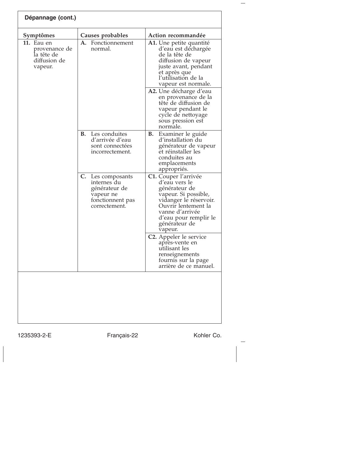| Symptômes                                                                   | Causes probables                                                                                       | Action recommandée                                                                                                                                                                                      |  |  |
|-----------------------------------------------------------------------------|--------------------------------------------------------------------------------------------------------|---------------------------------------------------------------------------------------------------------------------------------------------------------------------------------------------------------|--|--|
| <b>11.</b> Eau en<br>provenance de<br>la tête de<br>diffusion de<br>vapeur. | A. Fonctionnement<br>normal.                                                                           | A1. Une petite quantité<br>d'eau est déchargée<br>de la tête de<br>diffusion de vapeur<br>juste avant, pendant<br>et après que<br>l'utilisation de la<br>vapeur est normale.<br>A2. Une décharge d'eau  |  |  |
|                                                                             |                                                                                                        | en provenance de la<br>tête de diffusion de<br>vapeur pendant le<br>cycle de nettoyage<br>sous pression est<br>normale.                                                                                 |  |  |
|                                                                             | <b>B.</b> Les conduites<br>d'arrivée d'eau<br>sont connectées<br>incorrectement.                       | Examiner le guide<br>В.<br>d'installation du<br>générateur de vapeur<br>et réinstaller les<br>conduites au<br>emplacements<br>appropriés.                                                               |  |  |
|                                                                             | C.<br>Les composants<br>internes du<br>générateur de<br>vapeur ne<br>fonctionnent pas<br>correctement. | C1. Couper l'arrivée<br>d'eau vers le<br>générateur de<br>vapeur. Si possible,<br>vidanger le réservoir.<br>Ouvrir lentement la<br>vanne d'arrivée<br>d'eau pour remplir le<br>générateur de<br>vapeur. |  |  |
|                                                                             |                                                                                                        | C <sub>2</sub> . Appeler le service<br>après-vente en<br>utilisant les<br>renseignements<br>fournis sur la page<br>arrière de ce manuel.                                                                |  |  |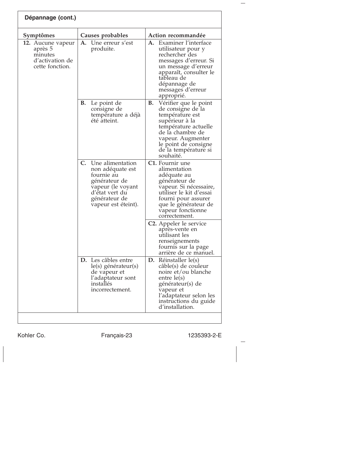| Dépannage (cont.)                                                             |                                                                                                                                                          |                                                                                                                                                                                                                     |  |  |
|-------------------------------------------------------------------------------|----------------------------------------------------------------------------------------------------------------------------------------------------------|---------------------------------------------------------------------------------------------------------------------------------------------------------------------------------------------------------------------|--|--|
| Symptômes                                                                     | Causes probables                                                                                                                                         | Action recommandée                                                                                                                                                                                                  |  |  |
| 12. Aucune vapeur<br>après 5<br>minutes<br>d'activation de<br>cette fonction. | А.<br>Une erreur s'est<br>produite.                                                                                                                      | Examiner l'interface<br>А.<br>utilisateur pour y<br>rechercher des<br>messages d'erreur. Si<br>un message d'erreur<br>apparaît, consulter le<br>tableau de<br>dépannage de<br>messages d'erreur<br>approprié.       |  |  |
|                                                                               | В.<br>Le point de<br>consigne de<br>température a déjà<br>été atteint.                                                                                   | В.<br>Vérifier que le point<br>de consigne de la<br>température est<br>supérieur à la<br>température actuelle<br>de la chambre de<br>vapeur. Augmenter<br>le point de consigne<br>de la température si<br>souhaité. |  |  |
|                                                                               | C.<br>Une alimentation<br>non adéquate est<br>fournie au<br>générateur de<br>vapeur (le voyant<br>d'état vert du<br>générateur de<br>vapeur est éteint). | C1. Fournir une<br>alimentation<br>adéquate au<br>générateur de<br>vapeur. Si nécessaire,<br>utiliser le kit d'essai<br>fourni pour assurer<br>que le générateur de<br>vapeur fonctionne<br>correctement.           |  |  |
|                                                                               |                                                                                                                                                          | C2. Appeler le service<br>après-vente en<br>utilisant les<br>renseignements<br>fournis sur la page<br>arrière de ce manuel.                                                                                         |  |  |
|                                                                               | <b>D.</b> Les câbles entre<br>le(s) générateur(s)<br>de vapeur et<br>l'adaptateur sont<br>installés<br>incorrectement.                                   | Réinstaller le(s)<br>D.<br>câble(s) de couleur<br>noire et/ou blanche<br>$entre$ $le(s)$<br>générateur(s) de<br>vapeur et<br>l'adaptateur selon les<br>instructions du guide<br>d'installation.                     |  |  |

Kohler Co. Français-23 1235393-2-E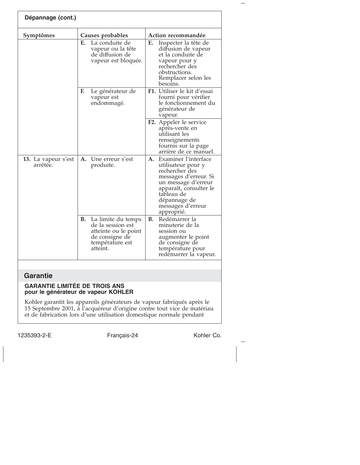| Dépannage (cont.)               |    |                                                                                                                  |    |                                                                                                                                                                                                         |  |
|---------------------------------|----|------------------------------------------------------------------------------------------------------------------|----|---------------------------------------------------------------------------------------------------------------------------------------------------------------------------------------------------------|--|
| Symptômes                       |    | Causes probables                                                                                                 |    | Action recommandée                                                                                                                                                                                      |  |
|                                 | Е. | La conduite de<br>vapeur ou la tête<br>de diffusion de<br>vapeur est bloquée.                                    | Е. | Inspecter la tête de<br>diffusion de vapeur<br>et la conduite de<br>vapeur pour y<br>rechercher des<br>obstructions.<br>Remplacer selon les<br>besoins.                                                 |  |
|                                 | F. | Le générateur de<br>vapeur est<br>endommagé.                                                                     |    | F1. Utiliser le kit d'essai<br>fourni pour vérifier<br>le fonctionnement du<br>générateur de<br>vapeur.                                                                                                 |  |
|                                 |    |                                                                                                                  |    | F2. Appeler le service<br>après-vente en<br>utilisant les<br>renseignements<br>fournis sur la page<br>arrière de ce manuel.                                                                             |  |
| 13. La vapeur s'est<br>arrêtée. |    | A. Une erreur s'est<br>produite.                                                                                 | A. | Examiner l'interface<br>utilisateur pour y<br>rechercher des<br>messages d'erreur. Si<br>un message d'erreur<br>apparaît, consulter le<br>tableau de<br>dépannage de<br>messages d'erreur<br>approprié. |  |
|                                 | В. | La limite du temps<br>de la session est<br>atteinte ou le point<br>de consigne de<br>température est<br>atteint. | В. | Redémarrer la<br>minuterie de la<br>session ou<br>augmenter le point<br>de consigne de<br>température pour<br>redémarrer la vapeur.                                                                     |  |

# **Garantie**

#### **GARANTIE LIMITÉE DE TROIS ANS pour le générateur de vapeur KOHLER**

Kohler garantit les appareils générateurs de vapeur fabriqués après le 15 Septembre 2001, à l'acquéreur d'origine contre tout vice de matériau et de fabrication lors d'une utilisation domestique normale pendant

1235393-2-E Français-24 Kohler Co.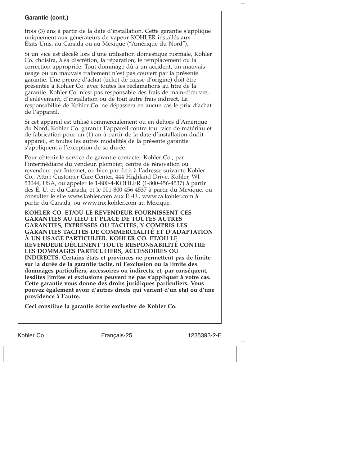#### **Garantie (cont.)**

trois (3) ans à partir de la date d'installation. Cette garantie s'applique uniquement aux générateurs de vapeur KOHLER installés aux États-Unis, au Canada ou au Mexique (″Amérique du Nord″).

Si un vice est décelé lors d'une utilisation domestique normale, Kohler Co. choisira, à sa discrétion, la réparation, le remplacement ou la correction appropriée. Tout dommage dû à un accident, un mauvais usage ou un mauvais traitement n'est pas couvert par la présente garantie. Une preuve d'achat (ticket de caisse d'origine) doit être présentée à Kohler Co. avec toutes les réclamations au titre de la garantie. Kohler Co. n'est pas responsable des frais de main-d'œuvre, d'enlèvement, d'installation ou de tout autre frais indirect. La responsabilité de Kohler Co. ne dépassera en aucun cas le prix d'achat de l'appareil.

Si cet appareil est utilisé commercialement ou en dehors d'Amérique du Nord, Kohler Co. garantit l'appareil contre tout vice de matériau et de fabrication pour un (1) an à partir de la date d'installation dudit appareil, et toutes les autres modalités de la présente garantie s'appliquent à l'exception de sa durée.

Pour obtenir le service de garantie contacter Kohler Co., par l'intermédiaire du vendeur, plombier, centre de rénovation ou revendeur par Internet, ou bien par écrit à l'adresse suivante Kohler Co., Attn.: Customer Care Center, 444 Highland Drive, Kohler, WI 53044, USA, ou appeler le 1-800-4-KOHLER (1-800-456-4537) à partir des É.-U. et du Canada, et le 001-800-456-4537 à partir du Mexique, ou consulter le site www.kohler.com aux É.-U., www.ca.kohler.com à partir du Canada, ou www.mx.kohler.com au Mexique.

**KOHLER CO. ET/OU LE REVENDEUR FOURNISSENT CES GARANTIES AU LIEU ET PLACE DE TOUTES AUTRES GARANTIES, EXPRESSES OU TACITES, Y COMPRIS LES GARANTIES TACITES DE COMMERCIALITÉ ET D'ADAPTATION À UN USAGE PARTICULIER. KOHLER CO. ET/OU LE REVENDEUR DÉCLINENT TOUTE RESPONSABILITÉ CONTRE LES DOMMAGES PARTICULIERS, ACCESSOIRES OU INDIRECTS. Certains états et provinces ne permettent pas de limite sur la durée de la garantie tacite, ni l'exclusion ou la limite des dommages particuliers, accessoires ou indirects, et, par conséquent, lesdites limites et exclusions peuvent ne pas s'appliquer à votre cas. Cette garantie vous donne des droits juridiques particuliers. Vous pouvez également avoir d'autres droits qui varient d'un état ou d'une providence à l'autre.**

**Ceci constitue la garantie écrite exclusive de Kohler Co.**

Kohler Co. Français-25 1235393-2-E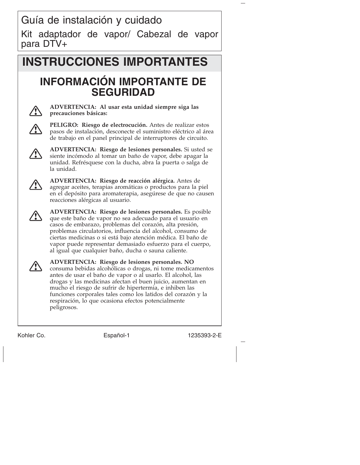# **INSTRUCCIONES IMPORTANTES**

# **INFORMACIÓN IMPORTANTE DE SEGURIDAD**



**ADVERTENCIA: Al usar esta unidad siempre siga las precauciones básicas:**



**PELIGRO: Riesgo de electrocución.** Antes de realizar estos pasos de instalación, desconecte el suministro eléctrico al área de trabajo en el panel principal de interruptores de circuito.



**ADVERTENCIA: Riesgo de lesiones personales.** Si usted se siente incómodo al tomar un baño de vapor, debe apagar la unidad. Refrésquese con la ducha, abra la puerta o salga de la unidad.



**ADVERTENCIA: Riesgo de reacción alérgica.** Antes de agregar aceites, terapias aromáticas o productos para la piel en el depósito para aromaterapia, asegúrese de que no causen reacciones alérgicas al usuario.



**ADVERTENCIA: Riesgo de lesiones personales.** Es posible que este baño de vapor no sea adecuado para el usuario en casos de embarazo, problemas del corazón, alta presión, problemas circulatorios, influencia del alcohol, consumo de ciertas medicinas o si está bajo atención médica. El baño de vapor puede representar demasiado esfuerzo para el cuerpo, al igual que cualquier baño, ducha o sauna caliente.



**ADVERTENCIA: Riesgo de lesiones personales. NO** consuma bebidas alcohólicas o drogas, ni tome medicamentos antes de usar el baño de vapor o al usarlo. El alcohol, las drogas y las medicinas afectan el buen juicio, aumentan en mucho el riesgo de sufrir de hipertermia, e inhiben las funciones corporales tales como los latidos del corazón y la respiración, lo que ocasiona efectos potencialmente peligrosos.

Kohler Co. **Español-1** 1235393-2-E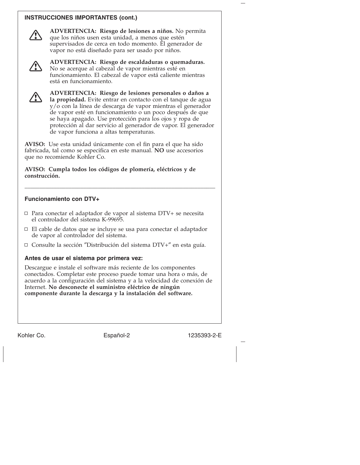#### **INSTRUCCIONES IMPORTANTES (cont.)**



**ADVERTENCIA: Riesgo de lesiones a niños.** No permita que los niños usen esta unidad, a menos que estén supervisados de cerca en todo momento. El generador de vapor no está diseñado para ser usado por niños.



**ADVERTENCIA: Riesgo de escaldaduras o quemaduras.** No se acerque al cabezal de vapor mientras esté en funcionamiento. El cabezal de vapor está caliente mientras está en funcionamiento.



**ADVERTENCIA: Riesgo de lesiones personales o daños a la propiedad.** Evite entrar en contacto con el tanque de agua y/o con la línea de descarga de vapor mientras el generador de vapor esté en funcionamiento o un poco después de que se haya apagado. Use protección para los ojos y ropa de protección al dar servicio al generador de vapor. El generador de vapor funciona a altas temperaturas.

**AVISO:** Use esta unidad únicamente con el fin para el que ha sido fabricada, tal como se especifica en este manual. **NO** use accesorios que no recomiende Kohler Co.

**AVISO: Cumpla todos los códigos de plomería, eléctricos y de construcción.**

#### **Funcionamiento con DTV+**

Para conectar el adaptador de vapor al sistema DTV+ se necesita el controlador del sistema K-99695.

\_\_\_\_\_\_\_\_\_\_\_\_\_\_\_\_\_\_\_\_\_\_\_\_\_\_\_\_\_\_\_\_\_\_\_\_\_\_\_\_\_\_\_\_\_\_\_\_\_\_\_\_\_\_\_\_\_\_\_\_\_\_\_\_\_

- El cable de datos que se incluye se usa para conectar el adaptador de vapor al controlador del sistema.
- □ Consulte la sección "Distribución del sistema DTV+" en esta guía.

#### **Antes de usar el sistema por primera vez:**

Descargue e instale el software más reciente de los componentes conectados. Completar este proceso puede tomar una hora o más, de acuerdo a la configuración del sistema y a la velocidad de conexión de Internet. **No desconecte el suministro eléctrico de ningún componente durante la descarga y la instalación del software.**

Kohler Co. **Español-2** 1235393-2-E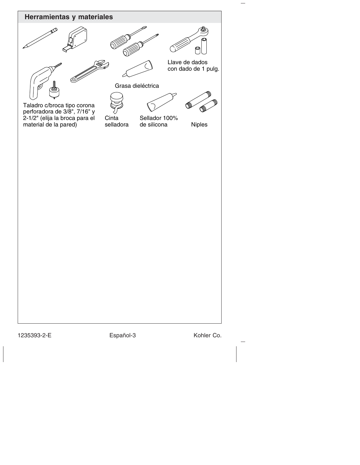

1235393-2-E Español-3 Kohler Co.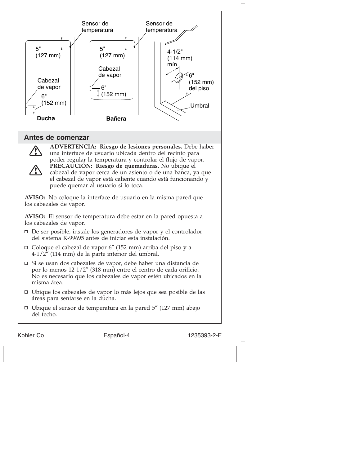

Kohler Co. **Español-4** 1235393-2-E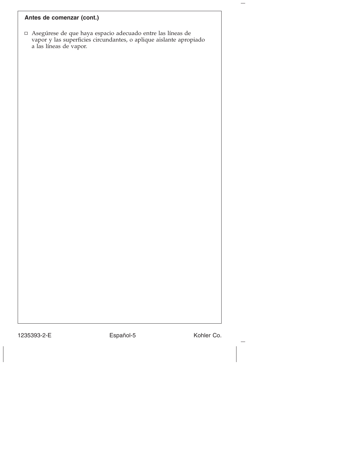# **Antes de comenzar (cont.)**

Asegúrese de que haya espacio adecuado entre las líneas de vapor y las superficies circundantes, o aplique aislante apropiado a las líneas de vapor.

1235393-2-E Español-5 Kohler Co.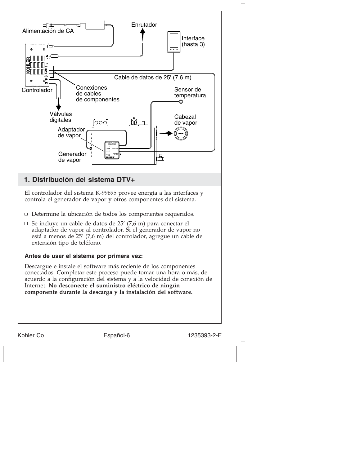

Kohler Co. **Español-6** 1235393-2-E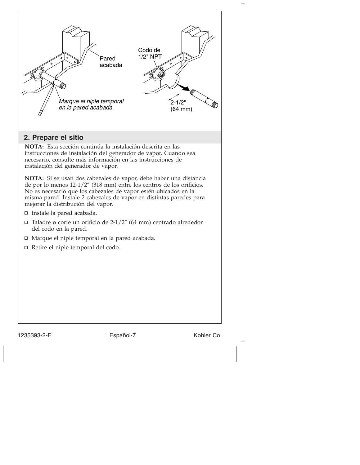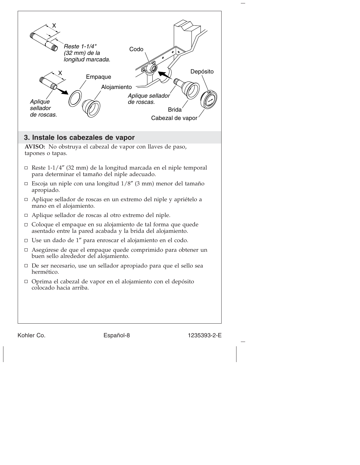

Kohler Co. **Español-8** 1235393-2-E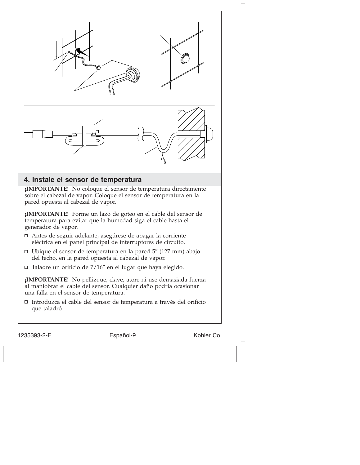

- Antes de seguir adelante, asegúrese de apagar la corriente eléctrica en el panel principal de interruptores de circuito.
- Ubique el sensor de temperatura en la pared 5″ (127 mm) abajo del techo, en la pared opuesta al cabezal de vapor.
- Taladre un orificio de 7/16″ en el lugar que haya elegido.

**¡IMPORTANTE!** No pellizque, clave, atore ni use demasiada fuerza al maniobrar el cable del sensor. Cualquier daño podría ocasionar una falla en el sensor de temperatura.

Introduzca el cable del sensor de temperatura a través del orificio que taladró.

1235393-2-E Español-9 Español-9 Kohler Co.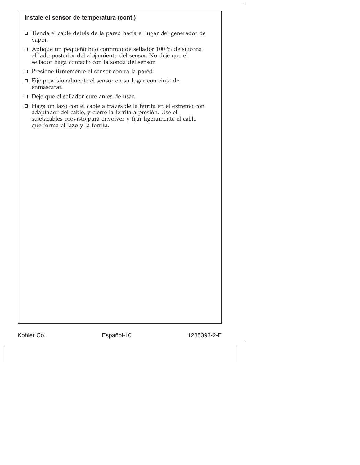#### **Instale el sensor de temperatura (cont.)**

- Tienda el cable detrás de la pared hacia el lugar del generador de vapor.
- Aplique un pequeño hilo continuo de sellador 100 % de silicona al lado posterior del alojamiento del sensor. No deje que el sellador haga contacto con la sonda del sensor.
- Presione firmemente el sensor contra la pared.
- Fije provisionalmente el sensor en su lugar con cinta de enmascarar.
- Deje que el sellador cure antes de usar.
- Haga un lazo con el cable a través de la ferrita en el extremo con adaptador del cable, y cierre la ferrita a presión. Use el sujetacables provisto para envolver y fijar ligeramente el cable que forma el lazo y la ferrita.

Kohler Co. **Español-10** 1235393-2-E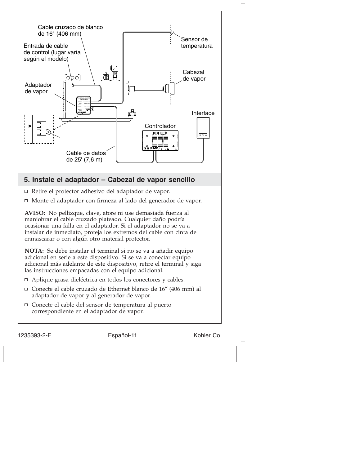

1235393-2-E Español-11 Kohler Co.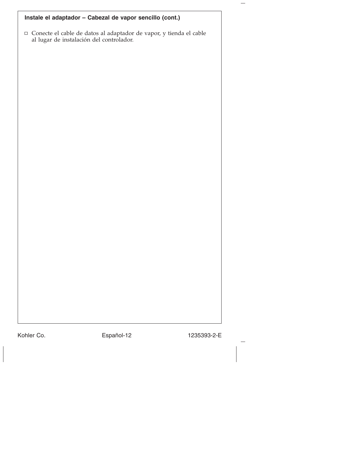# **Instale el adaptador – Cabezal de vapor sencillo (cont.)**

Conecte el cable de datos al adaptador de vapor, y tienda el cable al lugar de instalación del controlador.

Kohler Co. **Español-12** 1235393-2-E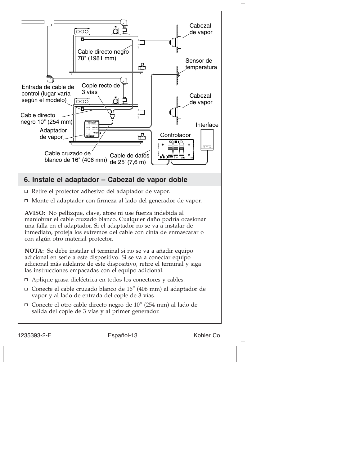

1235393-2-E Español-13 Kohler Co.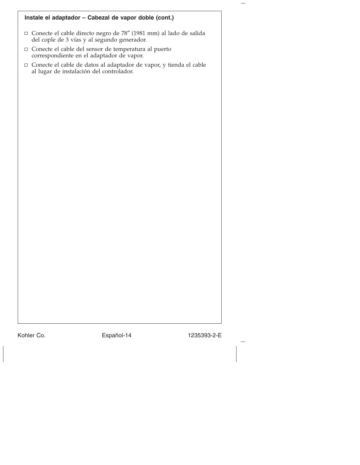| Instale el adaptador - Cabezal de vapor doble (cont.)                                                              |
|--------------------------------------------------------------------------------------------------------------------|
| □ Conecte el cable directo negro de 78" (1981 mm) al lado de salida<br>del cople de 3 vías y al segundo generador. |
| □ Conecte el cable del sensor de temperatura al puerto<br>correspondiente en el adaptador de vapor.                |
| □ Conecte el cable de datos al adaptador de vapor, y tienda el cable<br>al lugar de instalación del controlador.   |
|                                                                                                                    |
|                                                                                                                    |
|                                                                                                                    |
|                                                                                                                    |
|                                                                                                                    |
|                                                                                                                    |
|                                                                                                                    |
|                                                                                                                    |
|                                                                                                                    |
|                                                                                                                    |
|                                                                                                                    |
|                                                                                                                    |
|                                                                                                                    |
|                                                                                                                    |
|                                                                                                                    |
|                                                                                                                    |

Kohler Co. **Español-14** 1235393-2-E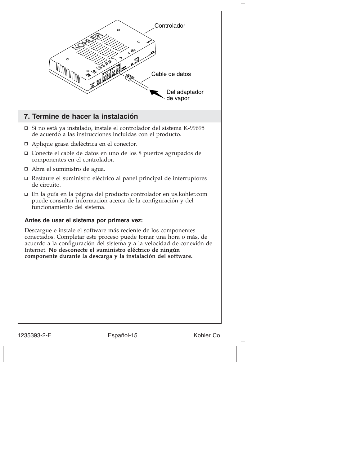

1235393-2-E Español-15 Kohler Co.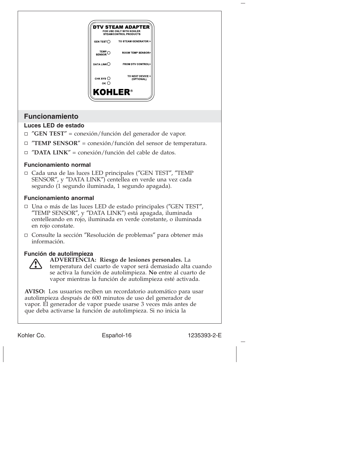

#### **Funcionamiento anormal**

- Una o más de las luces LED de estado principales (″GEN TEST″, ″TEMP SENSOR″, y ″DATA LINK″) está apagada, iluminada centelleando en rojo, iluminada en verde constante, o iluminada en rojo constate.
- Consulte la sección ″Resolución de problemas″ para obtener más información.

#### **Función de autolimpieza**



**ADVERTENCIA: Riesgo de lesiones personales.** La temperatura del cuarto de vapor será demasiado alta cuando se activa la función de autolimpieza. **No** entre al cuarto de vapor mientras la función de autolimpieza esté activada.

**AVISO:** Los usuarios reciben un recordatorio automático para usar autolimpieza después de 600 minutos de uso del generador de vapor. El generador de vapor puede usarse 3 veces más antes de que deba activarse la función de autolimpieza. Si no inicia la

Kohler Co. **Español-16** 1235393-2-E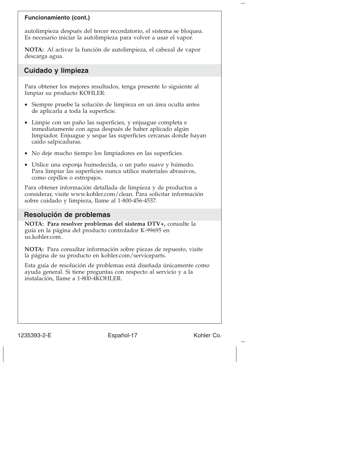#### **Funcionamiento (cont.)**

autolimpieza después del tercer recordatorio, el sistema se bloquea. Es necesario iniciar la autolimpieza para volver a usar el vapor.

**NOTA:** Al activar la función de autolimpieza, el cabezal de vapor descarga agua.

### **Cuidado y limpieza**

Para obtener los mejores resultados, tenga presente lo siguiente al limpiar su producto KOHLER:

- Siempre pruebe la solución de limpieza en un área oculta antes de aplicarla a toda la superficie.
- Limpie con un paño las superficies, y enjuague completa e inmediatamente con agua después de haber aplicado algún limpiador. Enjuague y seque las superficies cercanas donde hayan caído salpicaduras.
- No deje mucho tiempo los limpiadores en las superficies.
- Utilice una esponja humedecida, o un paño suave y húmedo. Para limpiar las superficies nunca utilice materiales abrasivos, como cepillos o estropajos.

Para obtener información detallada de limpieza y de productos a considerar, visite www.kohler.com/clean. Para solicitar información sobre cuidado y limpieza, llame al 1-800-456-4537.

#### **Resolución de problemas**

**NOTA: Para resolver problemas del sistema DTV+,** consulte la guía en la página del producto controlador K-99695 en us.kohler.com.

**NOTA:** Para consultar información sobre piezas de repuesto, visite la página de su producto en kohler.com/serviceparts.

Esta guía de resolución de problemas está diseñada únicamente como ayuda general. Si tiene preguntas con respecto al servicio y a la instalación, llame a 1-800-4KOHLER.

1235393-2-E Español-17 Kohler Co.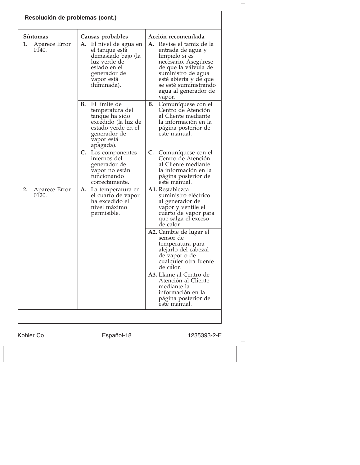| Resolución de problemas (cont.) |                                                                                                                                                                        |                                                                                                                                                                                                                              |  |  |
|---------------------------------|------------------------------------------------------------------------------------------------------------------------------------------------------------------------|------------------------------------------------------------------------------------------------------------------------------------------------------------------------------------------------------------------------------|--|--|
| Síntomas                        | Acción recomendada                                                                                                                                                     |                                                                                                                                                                                                                              |  |  |
| 1.<br>Aparece Error<br>0140.    | Causas probables<br><b>A.</b> El nivel de agua en<br>el tanque está<br>demasiado bajo (la<br>luz verde de<br>estado en el<br>generador de<br>vapor está<br>iluminada). | Revise el tamiz de la<br>А.<br>entrada de agua y<br>límpielo si es<br>necesario. Asegúrese<br>de que la válvula de<br>suministro de agua<br>esté abierta y de que<br>se esté suministrando<br>agua al generador de<br>vapor. |  |  |
|                                 | El límite de<br>В.<br>temperatura del<br>tanque ha sido<br>excedido (la luz de<br>estado verde en el<br>generador de<br>vapor está<br>apagada).                        | В.<br>Comuníquese con el<br>Centro de Atención<br>al Cliente mediante<br>la información en la<br>página posterior de<br>este manual.                                                                                         |  |  |
|                                 | C.<br>Los componentes<br>internos del<br>generador de<br>vapor no están<br>funcionando<br>correctamente.                                                               | C. Comuníquese con el<br>Centro de Atención<br>al Cliente mediante<br>la información en la<br>página posterior de<br>este manual.                                                                                            |  |  |
| 2.<br>Aparece Error<br>0120.    | А.<br>La temperatura en<br>el cuarto de vapor<br>ha excedido el<br>nivel máximo<br>permisible.                                                                         | <b>A1.</b> Restablezca<br>suministro eléctrico<br>al generador de<br>vapor y ventile el<br>cuarto de vapor para<br>que salga el exceso<br>de calor.                                                                          |  |  |
|                                 |                                                                                                                                                                        | A2. Cambie de lugar el<br>sensor de<br>temperatura para<br>alejarlo del cabezal<br>de vapor o de<br>cualquier otra fuente<br>de calor.                                                                                       |  |  |
|                                 |                                                                                                                                                                        | A3. Llame al Centro de<br>Atención al Cliente<br>mediante la<br>información en la<br>página posterior de<br>este manual.                                                                                                     |  |  |
|                                 |                                                                                                                                                                        |                                                                                                                                                                                                                              |  |  |

Kohler Co. **Español-18** 1235393-2-E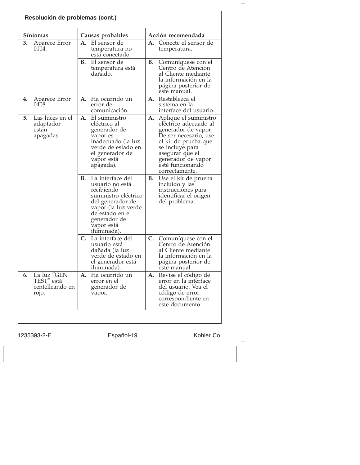| Resolución de problemas (cont.) |                                                       |                  |                                                                                                                                                                                      |                    |                                                                                                                                                                                                                          |
|---------------------------------|-------------------------------------------------------|------------------|--------------------------------------------------------------------------------------------------------------------------------------------------------------------------------------|--------------------|--------------------------------------------------------------------------------------------------------------------------------------------------------------------------------------------------------------------------|
| Síntomas                        |                                                       | Causas probables |                                                                                                                                                                                      | Acción recomendada |                                                                                                                                                                                                                          |
| 3.                              | Aparece Error<br>0104.                                | А.               | El sensor de<br>temperatura no<br>está conectado.                                                                                                                                    |                    | A. Conecte el sensor de<br>temperatura.                                                                                                                                                                                  |
|                                 |                                                       | В.               | El sensor de<br>temperatura está<br>dañado.                                                                                                                                          | В.                 | Comuníquese con el<br>Centro de Atención<br>al Cliente mediante<br>la información en la<br>página posterior de<br>este manual.                                                                                           |
| 4.                              | Aparece Error<br>0408.                                |                  | A. Ha ocurrido un<br>error de<br>comunicación.                                                                                                                                       | А.                 | Restablezca el<br>sistema en la<br>interface del usuario.                                                                                                                                                                |
| 5.                              | Las luces en el<br>adaptador<br>están<br>apagadas.    | А.               | El suministro<br>eléctrico al<br>generador de<br>vapor es<br>inadecuado (la luz<br>verde de estado en<br>el generador de<br>vapor está<br>apagada).                                  | A.                 | Aplique el suministro<br>eléctrico adecuado al<br>generador de vapor.<br>De ser necesario, use<br>el kit de prueba que<br>se incluye para<br>asegurar que el<br>generador de vapor<br>esté funcionando<br>correctamente. |
|                                 |                                                       | В.               | La interface del<br>usuario no está<br>recibiendo<br>suministro eléctrico<br>del generador de<br>vapor (la luz verde<br>de estado en el<br>generador de<br>vapor está<br>iluminada). | В.                 | Use el kit de prueba<br>incluido y las<br>instrucciones para<br>identificar el origen<br>del problema.                                                                                                                   |
|                                 |                                                       | C.               | La interface del<br>usuario está<br>dañada (la luz<br>verde de estado en<br>el generador está<br>iluminada).                                                                         |                    | C. Comuníquese con el<br>Centro de Atención<br>al Cliente mediante<br>la información en la<br>página posterior de<br>este manual.                                                                                        |
| 6.                              | La luz "GEN<br>TEST" está<br>centelleando en<br>rojo. |                  | <b>A.</b> Ha ocurrido un<br>error en el<br>generador de<br>vapor.                                                                                                                    |                    | A. Revise el código de<br>error en la interface<br>del usuario. Vea el<br>código de error<br>correspondiente en<br>este documento.                                                                                       |

1235393-2-E Español-19 Español-19 Kohler Co.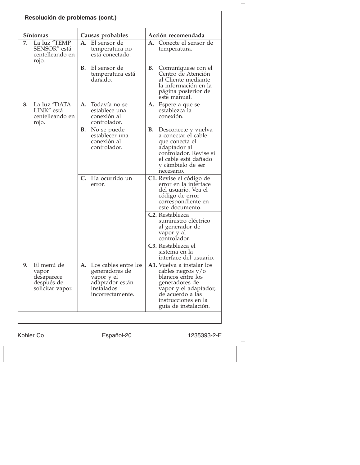| Resolución de problemas (cont.) |                                                                     |                  |                                                                                                           |    |                                                                                                                                                                                   |
|---------------------------------|---------------------------------------------------------------------|------------------|-----------------------------------------------------------------------------------------------------------|----|-----------------------------------------------------------------------------------------------------------------------------------------------------------------------------------|
| <b>Síntomas</b>                 |                                                                     | Causas probables |                                                                                                           |    | Acción recomendada                                                                                                                                                                |
| 7.                              | La luz "TEMP<br>SENSOR" está<br>centelleando en<br>rojo.            | А.               | El sensor de<br>temperatura no<br>está conectado.                                                         | А. | Conecte el sensor de<br>temperatura.                                                                                                                                              |
|                                 |                                                                     | В.               | El sensor de<br>temperatura está<br>dañado.                                                               | В. | Comuníquese con el<br>Centro de Atención<br>al Cliente mediante<br>la información en la<br>página posterior de<br>este manual.                                                    |
| 8.                              | La luz "DATA<br>LINK" está<br>centelleando en<br>rojo.              |                  | A. Todavía no se<br>establece una<br>conexión al<br>controlador.                                          |    | A. Espere a que se<br>establezca la<br>conexión.                                                                                                                                  |
|                                 |                                                                     | В.               | No se puede<br>establecer una<br>conexión al<br>controlador.                                              | В. | Desconecte y vuelva<br>a conectar el cable<br>que conecta el<br>adaptador al<br>controlador. Revise si<br>el cable está dañado<br>y cámbielo de ser<br>necesario.                 |
|                                 |                                                                     | C.               | Ha ocurrido un<br>error.                                                                                  |    | C1. Revise el código de<br>error en la interface<br>del usuario. Vea el<br>código de error<br>correspondiente en<br>este documento.                                               |
|                                 |                                                                     |                  |                                                                                                           |    | C <sub>2</sub> . Restablezca<br>suministro eléctrico<br>al generador de<br>vapor y al<br>controlador.                                                                             |
|                                 |                                                                     |                  |                                                                                                           |    | C <sub>3</sub> . Restablezca el<br>sistema en la<br>interface del usuario.                                                                                                        |
| 9.                              | El menú de<br>vapor<br>desaparece<br>después de<br>solicitar vapor. | А.               | Los cables entre los<br>generadores de<br>vapor y el<br>adaptador están<br>instalados<br>incorrectamente. |    | A1. Vuelva a instalar los<br>cables negros y/o<br>blancos entre los<br>generadores de<br>vapor y el adaptador,<br>de acuerdo a las<br>instrucciones en la<br>guía de instalación. |

Kohler Co. **Español-20** 1235393-2-E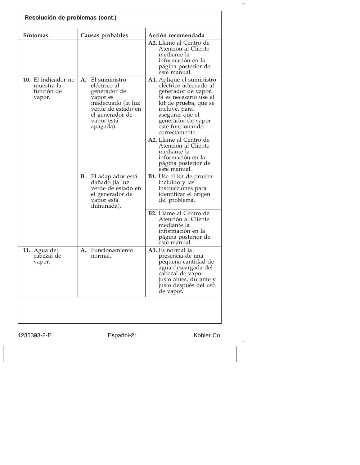| Resolución de problemas (cont.)                           |                                                                                                                                                           |                                                                                                                                                                                                                              |  |  |
|-----------------------------------------------------------|-----------------------------------------------------------------------------------------------------------------------------------------------------------|------------------------------------------------------------------------------------------------------------------------------------------------------------------------------------------------------------------------------|--|--|
| Síntomas                                                  | Causas probables                                                                                                                                          | Acción recomendada                                                                                                                                                                                                           |  |  |
|                                                           |                                                                                                                                                           | A2. Llame al Centro de<br>Atención al Cliente<br>mediante la<br>información en la<br>página posterior de<br>este manual.                                                                                                     |  |  |
| 10. El indicador no<br>muestra la<br>función de<br>vapor. | El suministro<br>А.<br>eléctrico al<br>generador de<br>vapor es<br>inadecuado (la luz<br>verde de estado en<br>el generador de<br>vapor está<br>apagada). | A1. Aplique el suministro<br>eléctrico adecuado al<br>generador de vapor.<br>Si es necesario use el<br>kit de prueba, que se<br>incluye, para<br>asegurar que el<br>generador de vapor<br>esté funcionando<br>correctamente. |  |  |
|                                                           |                                                                                                                                                           | A2. Llame al Centro de<br>Atención al Cliente<br>mediante la<br>información en la<br>página posterior de<br>este manual.                                                                                                     |  |  |
|                                                           | В.<br>El adaptador está<br>dañado (la luz<br>verde de estado en<br>el generador de<br>vapor está<br>iluminada).                                           | B1. Use el kit de prueba<br>incluido y las<br>instrucciones para<br>identificar el origen<br>del problema.                                                                                                                   |  |  |
|                                                           |                                                                                                                                                           | <b>B2.</b> Llame al Centro de<br>Atención al Cliente<br>mediante la<br>información en la<br>página posterior de<br>este manual.                                                                                              |  |  |
| 11. Agua del<br>cabezal de<br>vapor.                      | A. Funcionamiento<br>normal.                                                                                                                              | A1. Es normal la<br>presencia de una<br>pequeña cantidad de<br>agua descargada del<br>cabezal de vapor<br>justo antes, durante y<br>justo después del uso<br>de vapor.                                                       |  |  |
|                                                           |                                                                                                                                                           |                                                                                                                                                                                                                              |  |  |

1235393-2-E Español-21 Kohler Co.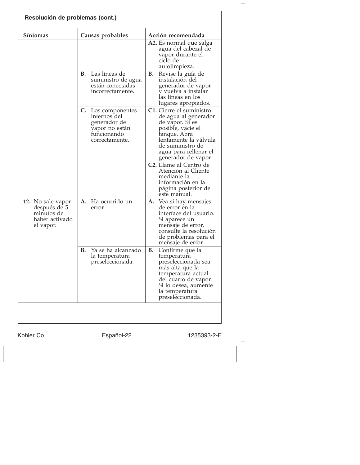| Resolución de problemas (cont.)                                                |                                                                                                       |                                                                                                                                                                                                       |
|--------------------------------------------------------------------------------|-------------------------------------------------------------------------------------------------------|-------------------------------------------------------------------------------------------------------------------------------------------------------------------------------------------------------|
| Síntomas                                                                       | Causas probables                                                                                      | Acción recomendada                                                                                                                                                                                    |
|                                                                                |                                                                                                       | A2. Es normal que salga<br>agua del cabezal de<br>vapor durante el<br>ciclo de<br>autolimpieza.                                                                                                       |
|                                                                                | Las líneas de<br>В.<br>suministro de agua<br>están conectadas<br>incorrectamente.                     | В.<br>Revise la guía de<br>instalación del<br>generador de vapor<br>v vuelva a instalar<br>las líneas en los<br>lugares apropiados.                                                                   |
|                                                                                | C. Los componentes<br>internos del<br>generador de<br>vapor no están<br>funcionando<br>correctamente. | C1. Cierre el suministro<br>de agua al generador<br>de vapor. Si es<br>posible, vacíe el<br>tanque. Abra<br>lentamente la válvula<br>de suministro de<br>agua para rellenar el<br>generador de vapor. |
|                                                                                |                                                                                                       | C <sub>2</sub> . Llame al Centro de<br>Atención al Cliente<br>mediante la<br>información en la<br>página posterior de<br>este manual.                                                                 |
| 12. No sale vapor<br>después de 5<br>minutos de<br>haber activado<br>el vapor. | A. Ha ocurrido un<br>error.                                                                           | А.<br>Vea si hay mensajes<br>de error en la<br>interface del usuario.<br>Si aparece un<br>mensaje de error,<br>consulte la resolución<br>de problemas para el<br>mensaje de error.                    |
|                                                                                | Ya se ha alcanzado<br>В.<br>la temperatura<br>preseleccionada.                                        | В.<br>Confirme que la<br>temperatura<br>preseleccionada sea<br>más alta que la<br>temperatura actual<br>del cuarto de vapor.<br>Si lo desea, aumente<br>la temperatura<br>preseleccionada.            |
|                                                                                |                                                                                                       |                                                                                                                                                                                                       |

Kohler Co. Español-22 1235393-2-E

 $\frac{1}{2}$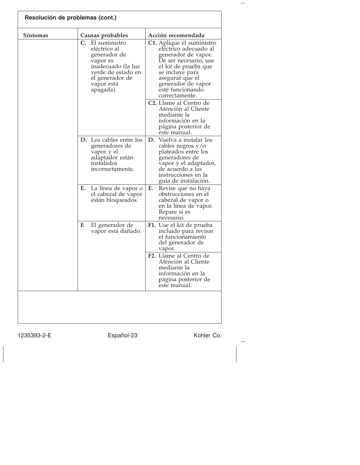| Resolución de problemas (cont.) |                                                                                                                                                           |                                                                                                                                                                                                                              |
|---------------------------------|-----------------------------------------------------------------------------------------------------------------------------------------------------------|------------------------------------------------------------------------------------------------------------------------------------------------------------------------------------------------------------------------------|
| Síntomas                        | Causas probables                                                                                                                                          | Acción recomendada                                                                                                                                                                                                           |
|                                 | C.<br>El suministro<br>eléctrico al<br>generador de<br>vapor es<br>inadecuado (la luz<br>verde de estado en<br>el generador de<br>vapor está<br>apagada). | C1. Aplique el suministro<br>eléctrico adecuado al<br>generador de vapor.<br>De ser necesario, use<br>el kit de prueba que<br>se incluye para<br>asegurar que el<br>generador de vapor<br>esté funcionando<br>correctamente. |
|                                 |                                                                                                                                                           | C <sub>2</sub> . Llame al Centro de<br>Atención al Cliente<br>mediante la<br>información en la<br>página posterior de<br>este manual.                                                                                        |
|                                 | <b>D.</b> Los cables entre los<br>generadores de<br>vapor y el<br>adaptador están<br>instalados<br>incorrectamente.                                       | Vuelva a instalar los<br>D.<br>cables negros $y/o$<br>plateados entre los<br>generadores de<br>vapor y el adaptador,<br>de acuerdo a las<br>instrucciones en la<br>guía de instalación.                                      |
|                                 | Е.<br>La línea de vapor o<br>el cabezal de vapor<br>están bloqueados.                                                                                     | Е.<br>Revise que no haya<br>obstrucciones en el<br>cabezal de vapor o<br>en la línea de vapor.<br>Repare si es<br>necesario.                                                                                                 |
|                                 | F.<br>El generador de<br>vapor está dañado.                                                                                                               | F1. Use el kit de prueba<br>incluido para revisar<br>el funcionamiento<br>del generador de<br>vapor.                                                                                                                         |
|                                 |                                                                                                                                                           | F <sub>2</sub> . Llame al Centro de<br>Atención al Cliente<br>mediante la<br>información en la<br>página posterior de<br>este manual.                                                                                        |
|                                 |                                                                                                                                                           |                                                                                                                                                                                                                              |

1235393-2-E Español-23 Kohler Co.

 $\overline{\phantom{a}}$ 

 $\overline{\phantom{m}}$ 

 $\frac{1}{2}$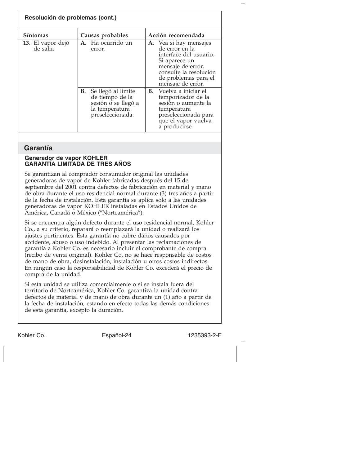| Resolución de problemas (cont.) |                                                                                                          |                                                                                                                                                                                 |
|---------------------------------|----------------------------------------------------------------------------------------------------------|---------------------------------------------------------------------------------------------------------------------------------------------------------------------------------|
| <b>Síntomas</b>                 | Causas probables                                                                                         | Acción recomendada                                                                                                                                                              |
| 13. El vapor dejó<br>de salir.  | A. Ha ocurrido un<br>error.                                                                              | A. Vea si hay mensajes<br>de error en la<br>interface del usuario.<br>Si aparece un<br>mensaje de error,<br>consulte la resolución<br>de problemas para el<br>mensaje de error. |
|                                 | Se llegó al límite<br>В.<br>de tiempo de la<br>sesión o se llegó a<br>la temperatura<br>preseleccionada. | <b>B.</b> Vuelva a iniciar el<br>temporizador de la<br>sesión o aumente la<br>temperatura<br>preseleccionada para<br>que el vapor vuelva<br>a producirse.                       |

## **Garantía**

## **Generador de vapor KOHLER GARANTÍA LIMITADA DE TRES AÑOS**

Se garantizan al comprador consumidor original las unidades generadoras de vapor de Kohler fabricadas después del 15 de septiembre del 2001 contra defectos de fabricación en material y mano de obra durante el uso residencial normal durante (3) tres años a partir de la fecha de instalación. Esta garantía se aplica solo a las unidades generadoras de vapor KOHLER instaladas en Estados Unidos de América, Canadá o México (″Norteamérica″).

Si se encuentra algún defecto durante el uso residencial normal, Kohler Co., a su criterio, reparará o reemplazará la unidad o realizará los ajustes pertinentes. Esta garantía no cubre daños causados por accidente, abuso o uso indebido. Al presentar las reclamaciones de garantía a Kohler Co. es necesario incluir el comprobante de compra (recibo de venta original). Kohler Co. no se hace responsable de costos de mano de obra, desinstalación, instalación u otros costos indirectos. En ningún caso la responsabilidad de Kohler Co. excederá el precio de compra de la unidad.

Si esta unidad se utiliza comercialmente o si se instala fuera del territorio de Norteamérica, Kohler Co. garantiza la unidad contra defectos de material y de mano de obra durante un (1) año a partir de la fecha de instalación, estando en efecto todas las demás condiciones de esta garantía, excepto la duración.

Kohler Co. Español-24 1235393-2-E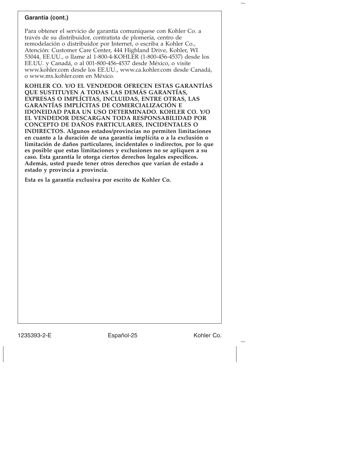## **Garantía (cont.)**

Para obtener el servicio de garantía comuníquese con Kohler Co. a través de su distribuidor, contratista de plomería, centro de remodelación o distribuidor por Internet, o escriba a Kohler Co., Atención: Customer Care Center, 444 Highland Drive, Kohler, WI 53044, EE.UU., o llame al 1-800-4-KOHLER (1-800-456-4537) desde los EE.UU. y Canadá, o al 001-800-456-4537 desde México, o visite www.kohler.com desde los EE.UU., www.ca.kohler.com desde Canadá, o www.mx.kohler.com en México.

**KOHLER CO. Y/O EL VENDEDOR OFRECEN ESTAS GARANTÍAS QUE SUSTITUYEN A TODAS LAS DEMÁS GARANTÍAS, EXPRESAS O IMPLÍCITAS, INCLUIDAS, ENTRE OTRAS, LAS GARANTÍAS IMPLÍCITAS DE COMERCIALIZACIÓN E IDONEIDAD PARA UN USO DETERMINADO. KOHLER CO. Y/O EL VENDEDOR DESCARGAN TODA RESPONSABILIDAD POR CONCEPTO DE DAÑOS PARTICULARES, INCIDENTALES O INDIRECTOS. Algunos estados/provincias no permiten limitaciones en cuanto a la duración de una garantía implícita o a la exclusión o limitación de daños particulares, incidentales o indirectos, por lo que es posible que estas limitaciones y exclusiones no se apliquen a su caso. Esta garantía le otorga ciertos derechos legales específicos. Además, usted puede tener otros derechos que varían de estado a estado y provincia a provincia.**

**Esta es la garantía exclusiva por escrito de Kohler Co.**

1235393-2-E Español-25 Kohler Co.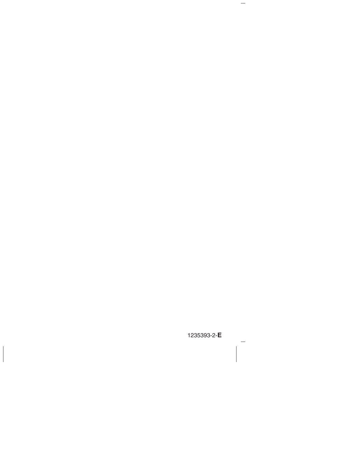1235393-2-E

 $\overline{\phantom{0}}$